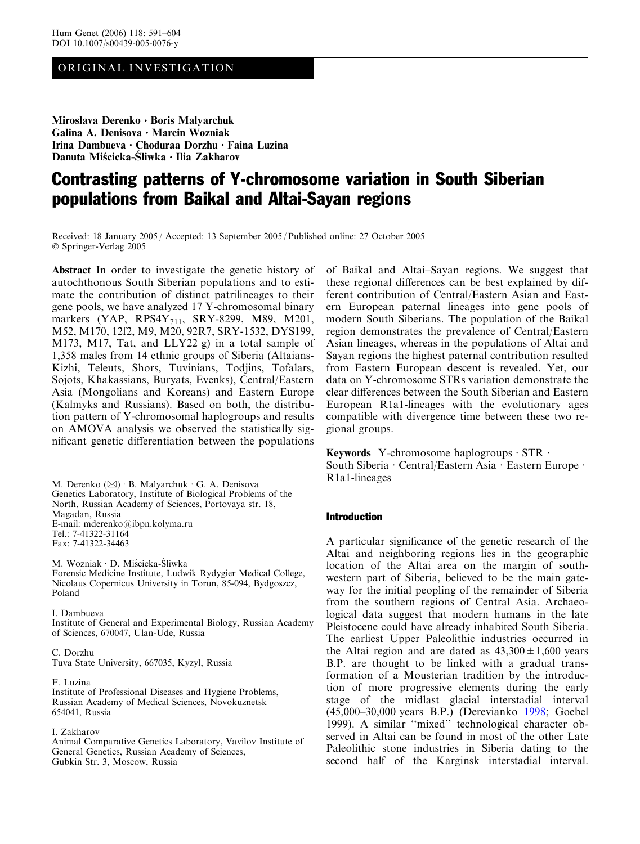# ORIGINAL INVESTIGATION

Miroslava Derenko · Boris Malyarchuk Galina A. Denisova  $\cdot$  Marcin Wozniak Irina Dambueva • Choduraa Dorzhu • Faina Luzina Danuta Miścicka-Śliwka · Ilia Zakharov

# Contrasting patterns of Y-chromosome variation in South Siberian populations from Baikal and Altai-Sayan regions

Received: 18 January 2005 / Accepted: 13 September 2005 / Published online: 27 October 2005 Springer-Verlag 2005

Abstract In order to investigate the genetic history of autochthonous South Siberian populations and to estimate the contribution of distinct patrilineages to their gene pools, we have analyzed 17 Y-chromosomal binary markers (YAP, RPS4Y<sub>711</sub>, SRY-8299, M89, M201, M52, M170, 12f2, M9, M20, 92R7, SRY-1532, DYS199, M173, M17, Tat, and LLY22 g) in a total sample of 1,358 males from 14 ethnic groups of Siberia (Altaians-Kizhi, Teleuts, Shors, Tuvinians, Todjins, Tofalars, Sojots, Khakassians, Buryats, Evenks), Central/Eastern Asia (Mongolians and Koreans) and Eastern Europe (Kalmyks and Russians). Based on both, the distribution pattern of Y-chromosomal haplogroups and results on AMOVA analysis we observed the statistically significant genetic differentiation between the populations

M. Derenko  $(\boxtimes) \cdot$  B. Malyarchuk  $\cdot$  G. A. Denisova Genetics Laboratory, Institute of Biological Problems of the North, Russian Academy of Sciences, Portovaya str. 18, Magadan, Russia E-mail: mderenko@ibpn.kolyma.ru Tel.: 7-41322-31164 Fax: 7-41322-34463

M. Wozniak · D. Miścicka-Śliwka Forensic Medicine Institute, Ludwik Rydygier Medical College, Nicolaus Copernicus University in Torun, 85-094, Bydgoszcz, Poland

I. Dambueva Institute of General and Experimental Biology, Russian Academy

of Sciences, 670047, Ulan-Ude, Russia

C. Dorzhu Tuva State University, 667035, Kyzyl, Russia

F. Luzina

Institute of Professional Diseases and Hygiene Problems, Russian Academy of Medical Sciences, Novokuznetsk 654041, Russia

#### I. Zakharov

Animal Comparative Genetics Laboratory, Vavilov Institute of General Genetics, Russian Academy of Sciences, Gubkin Str. 3, Moscow, Russia

of Baikal and Altai–Sayan regions. We suggest that these regional differences can be best explained by different contribution of Central/Eastern Asian and Eastern European paternal lineages into gene pools of modern South Siberians. The population of the Baikal region demonstrates the prevalence of Central/Eastern Asian lineages, whereas in the populations of Altai and Sayan regions the highest paternal contribution resulted from Eastern European descent is revealed. Yet, our data on Y-chromosome STRs variation demonstrate the clear differences between the South Siberian and Eastern European R1a1-lineages with the evolutionary ages compatible with divergence time between these two regional groups.

Keywords Y-chromosome haplogroups  $\cdot$  STR  $\cdot$ South Siberia · Central/Eastern Asia · Eastern Europe · R1a1-lineages

## Introduction

A particular significance of the genetic research of the Altai and neighboring regions lies in the geographic location of the Altai area on the margin of southwestern part of Siberia, believed to be the main gateway for the initial peopling of the remainder of Siberia from the southern regions of Central Asia. Archaeological data suggest that modern humans in the late Pleistocene could have already inhabited South Siberia. The earliest Upper Paleolithic industries occurred in the Altai region and are dated as  $43,300 \pm 1,600$  years B.P. are thought to be linked with a gradual transformation of a Mousterian tradition by the introduction of more progressive elements during the early stage of the midlast glacial interstadial interval (45,000–30,000 years B.P.) (Derevianko [1998](#page-11-0); Goebel [1999\)](#page-12-0). A similar ''mixed'' technological character observed in Altai can be found in most of the other Late Paleolithic stone industries in Siberia dating to the second half of the Karginsk interstadial interval.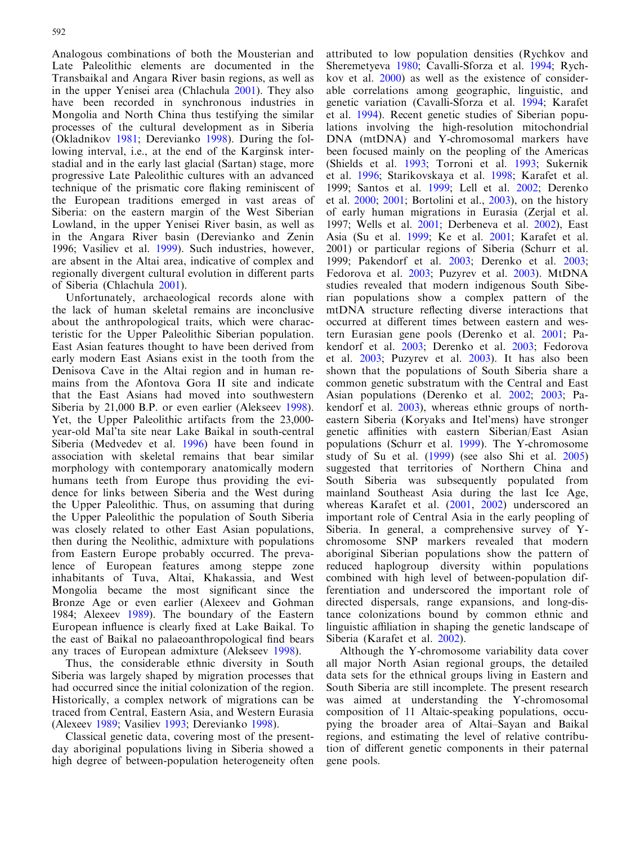Analogous combinations of both the Mousterian and Late Paleolithic elements are documented in the Transbaikal and Angara River basin regions, as well as in the upper Yenisei area (Chlachula [2001](#page-11-0)). They also have been recorded in synchronous industries in Mongolia and North China thus testifying the similar processes of the cultural development as in Siberia (Okladnikov [1981](#page-12-0); Derevianko [1998\)](#page-11-0). During the following interval, i.e., at the end of the Karginsk interstadial and in the early last glacial (Sartan) stage, more progressive Late Paleolithic cultures with an advanced technique of the prismatic core flaking reminiscent of the European traditions emerged in vast areas of Siberia: on the eastern margin of the West Siberian Lowland, in the upper Yenisei River basin, as well as in the Angara River basin (Derevianko and Zenin [1996](#page-11-0); Vasiliev et al. [1999](#page-13-0)). Such industries, however, are absent in the Altai area, indicative of complex and regionally divergent cultural evolution in different parts of Siberia (Chlachula [2001\)](#page-11-0).

Unfortunately, archaeological records alone with the lack of human skeletal remains are inconclusive about the anthropological traits, which were characteristic for the Upper Paleolithic Siberian population. East Asian features thought to have been derived from early modern East Asians exist in the tooth from the Denisova Cave in the Altai region and in human remains from the Afontova Gora II site and indicate that the East Asians had moved into southwestern Siberia by 21,000 B.P. or even earlier (Alekseev [1998\)](#page-11-0). Yet, the Upper Paleolithic artifacts from the 23,000 year-old Mal'ta site near Lake Baikal in south-central Siberia (Medvedev et al. [1996\)](#page-12-0) have been found in association with skeletal remains that bear similar morphology with contemporary anatomically modern humans teeth from Europe thus providing the evidence for links between Siberia and the West during the Upper Paleolithic. Thus, on assuming that during the Upper Paleolithic the population of South Siberia was closely related to other East Asian populations, then during the Neolithic, admixture with populations from Eastern Europe probably occurred. The prevalence of European features among steppe zone inhabitants of Tuva, Altai, Khakassia, and West Mongolia became the most significant since the Bronze Age or even earlier (Alexeev and Gohman [1984](#page-11-0); Alexeev [1989\)](#page-11-0). The boundary of the Eastern European influence is clearly fixed at Lake Baikal. To the east of Baikal no palaeoanthropological find bears any traces of European admixture (Alekseev [1998](#page-11-0)).

Thus, the considerable ethnic diversity in South Siberia was largely shaped by migration processes that had occurred since the initial colonization of the region. Historically, a complex network of migrations can be traced from Central, Eastern Asia, and Western Eurasia (Alexeev [1989](#page-11-0); Vasiliev [1993](#page-12-0); Derevianko [1998\)](#page-11-0).

Classical genetic data, covering most of the presentday aboriginal populations living in Siberia showed a high degree of between-population heterogeneity often attributed to low population densities (Rychkov and Sheremetyeva [1980;](#page-12-0) Cavalli-Sforza et al. [1994;](#page-11-0) Rychkov et al. [2000](#page-12-0)) as well as the existence of considerable correlations among geographic, linguistic, and genetic variation (Cavalli-Sforza et al. [1994](#page-11-0); Karafet et al. [1994\)](#page-12-0). Recent genetic studies of Siberian populations involving the high-resolution mitochondrial DNA (mtDNA) and Y-chromosomal markers have been focused mainly on the peopling of the Americas (Shields et al. [1993](#page-12-0); Torroni et al. [1993;](#page-12-0) Sukernik et al. [1996](#page-12-0); Starikovskaya et al. [1998;](#page-12-0) Karafet et al. [1999;](#page-12-0) Santos et al. [1999](#page-12-0); Lell et al. [2002](#page-12-0); Derenko et al. [2000;](#page-11-0) [2001](#page-12-0); Bortolini et al., [2003\)](#page-11-0), on the history of early human migrations in Eurasia (Zerjal et al. [1997;](#page-13-0) Wells et al. [2001;](#page-13-0) Derbeneva et al. [2002\)](#page-11-0), East Asia (Su et al. [1999;](#page-12-0) Ke et al. [2001](#page-12-0); Karafet et al. [2001\)](#page-12-0) or particular regions of Siberia (Schurr et al. [1999;](#page-12-0) Pakendorf et al. [2003;](#page-12-0) Derenko et al. [2003](#page-11-0); Fedorova et al. [2003](#page-12-0); Puzyrev et al. [2003\)](#page-12-0). MtDNA studies revealed that modern indigenous South Siberian populations show a complex pattern of the mtDNA structure reflecting diverse interactions that occurred at different times between eastern and western Eurasian gene pools (Derenko et al. [2001;](#page-11-0) Pakendorf et al. [2003;](#page-12-0) Derenko et al. [2003](#page-11-0); Fedorova et al. [2003;](#page-12-0) Puzyrev et al. [2003](#page-12-0)). It has also been shown that the populations of South Siberia share a common genetic substratum with the Central and East Asian populations (Derenko et al. [2002](#page-11-0); [2003](#page-12-0); Pakendorf et al. [2003](#page-12-0)), whereas ethnic groups of northeastern Siberia (Koryaks and Itel'mens) have stronger genetic affinities with eastern Siberian/East Asian populations (Schurr et al. [1999\)](#page-12-0). The Y-chromosome study of Su et al. [\(1999\)](#page-12-0) (see also Shi et al. [2005\)](#page-12-0) suggested that territories of Northern China and South Siberia was subsequently populated from mainland Southeast Asia during the last Ice Age, whereas Karafet et al. [\(2001](#page-12-0), [2002\)](#page-12-0) underscored an important role of Central Asia in the early peopling of Siberia. In general, a comprehensive survey of Ychromosome SNP markers revealed that modern aboriginal Siberian populations show the pattern of reduced haplogroup diversity within populations combined with high level of between-population differentiation and underscored the important role of directed dispersals, range expansions, and long-distance colonizations bound by common ethnic and linguistic affiliation in shaping the genetic landscape of Siberia (Karafet et al. [2002](#page-12-0)).

Although the Y-chromosome variability data cover all major North Asian regional groups, the detailed data sets for the ethnical groups living in Eastern and South Siberia are still incomplete. The present research was aimed at understanding the Y-chromosomal composition of 11 Altaic-speaking populations, occupying the broader area of Altai–Sayan and Baikal regions, and estimating the level of relative contribution of different genetic components in their paternal gene pools.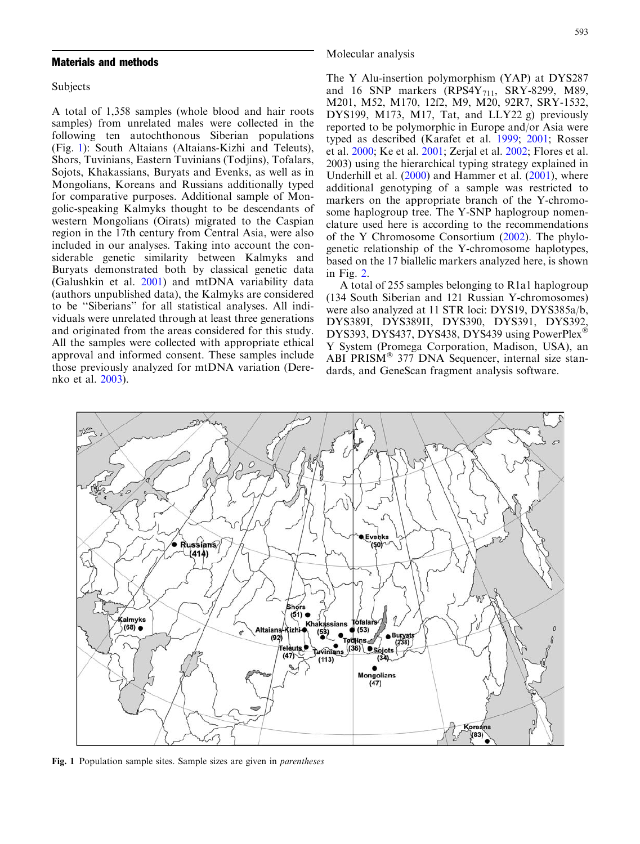## Materials and methods

Subjects

A total of 1,358 samples (whole blood and hair roots samples) from unrelated males were collected in the following ten autochthonous Siberian populations (Fig. 1): South Altaians (Altaians-Kizhi and Teleuts), Shors, Tuvinians, Eastern Tuvinians (Todjins), Tofalars, Sojots, Khakassians, Buryats and Evenks, as well as in Mongolians, Koreans and Russians additionally typed for comparative purposes. Additional sample of Mongolic-speaking Kalmyks thought to be descendants of western Mongolians (Oirats) migrated to the Caspian region in the 17th century from Central Asia, were also included in our analyses. Taking into account the considerable genetic similarity between Kalmyks and Buryats demonstrated both by classical genetic data [\(Galushkin et al.](#page-12-0) 2001) and mtDNA variability data (authors unpublished data), the Kalmyks are considered to be ''Siberians'' for all statistical analyses. All individuals were unrelated through at least three generations and originated from the areas considered for this study. All the samples were collected with appropriate ethical approval and informed consent. These samples include those previously analyzed for mtDNA variation (Derenko et al. [2003\)](#page-11-0).

#### Molecular analysis

The Y Alu-insertion polymorphism (YAP) at DYS287 and 16 SNP markers  $(RPS4Y_{711}, SRY-8299, M89,$ M201, M52, M170, 12f2, M9, M20, 92R7, SRY-1532, DYS199, M173, M17, Tat, and LLY22 g) previously reported to be polymorphic in Europe and/or Asia were typed as described (Karafet et al. [1999;](#page-12-0) [2001;](#page-12-0) Rosser et al. [2000](#page-12-0); Ke et al. [2001](#page-12-0); Zerjal et al. [2002](#page-13-0); Flores et al. [2003\)](#page-12-0) using the hierarchical typing strategy explained in Underhill et al. [\(2000](#page-12-0)) and Hammer et al. ([2001](#page-12-0)), where additional genotyping of a sample was restricted to markers on the appropriate branch of the Y-chromosome haplogroup tree. The Y-SNP haplogroup nomenclature used here is according to the recommendations of the Y Chromosome Consortium ([2002](#page-13-0)). The phylogenetic relationship of the Y-chromosome haplotypes, based on the 17 biallelic markers analyzed here, is shown in Fig. [2.](#page-3-0)

A total of 255 samples belonging to R1a1 haplogroup (134 South Siberian and 121 Russian Y-chromosomes) were also analyzed at 11 STR loci: DYS19, DYS385a/b, DYS389I, DYS389II, DYS390, DYS391, DYS392, DYS393, DYS437, DYS438, DYS439 using PowerPlex<sup>®</sup> Y System (Promega Corporation, Madison, USA), an ABI PRISM<sup>®</sup> 377 DNA Sequencer, internal size standards, and GeneScan fragment analysis software.



Fig. 1 Population sample sites. Sample sizes are given in parentheses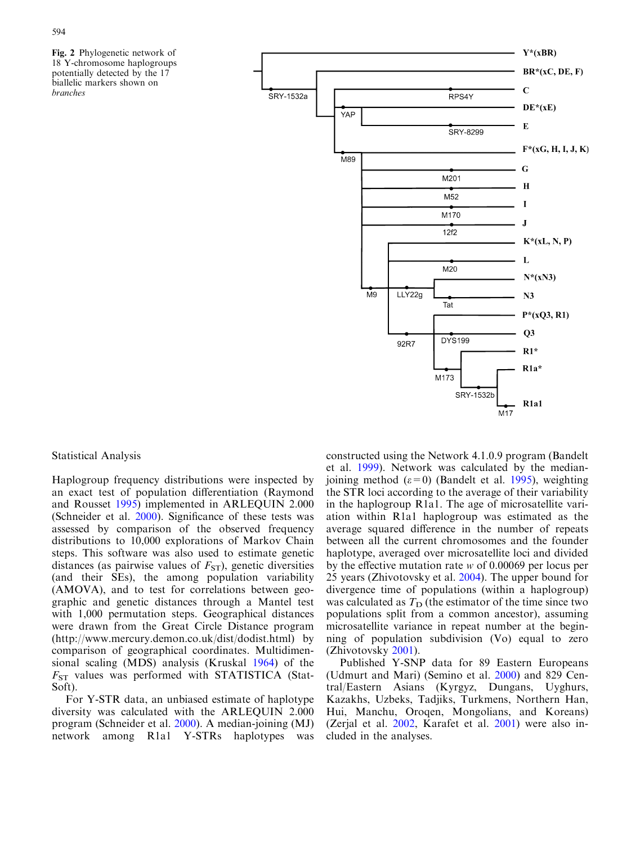<span id="page-3-0"></span>Fig. 2 Phylogenetic network of 18 Y-chromosome haplogroups potentially detected by the 17 biallelic markers shown on branches



Statistical Analysis

Haplogroup frequency distributions were inspected by an exact test of population differentiation (Raymond and Rousset [1995\)](#page-12-0) implemented in ARLEQUIN 2.000 (Schneider et al. [2000](#page-12-0)). Significance of these tests was assessed by comparison of the observed frequency distributions to 10,000 explorations of Markov Chain steps. This software was also used to estimate genetic distances (as pairwise values of  $F_{ST}$ ), genetic diversities (and their SEs), the among population variability (AMOVA), and to test for correlations between geographic and genetic distances through a Mantel test with 1,000 permutation steps. Geographical distances were drawn from the Great Circle Distance program (http://www.mercury.demon.co.uk/dist/dodist.html) by comparison of geographical coordinates. Multidimensional scaling (MDS) analysis (Kruskal [1964](#page-12-0)) of the  $F_{ST}$  values was performed with STATISTICA (Stat-Soft).

For Y-STR data, an unbiased estimate of haplotype diversity was calculated with the ARLEQUIN 2.000 program (Schneider et al. [2000](#page-12-0)). A median-joining (MJ) network among R1a1 Y-STRs haplotypes was constructed using the Network 4.1.0.9 program (Bandelt et al. [1999](#page-11-0)). Network was calculated by the medianjoining method  $(\varepsilon=0)$  (Bandelt et al. [1995\)](#page-11-0), weighting the STR loci according to the average of their variability in the haplogroup R1a1. The age of microsatellite variation within R1a1 haplogroup was estimated as the average squared difference in the number of repeats between all the current chromosomes and the founder haplotype, averaged over microsatellite loci and divided by the effective mutation rate w of 0.00069 per locus per 25 years (Zhivotovsky et al. [2004\)](#page-13-0). The upper bound for divergence time of populations (within a haplogroup) was calculated as  $T_D$  (the estimator of the time since two populations split from a common ancestor), assuming microsatellite variance in repeat number at the beginning of population subdivision (Vo) equal to zero (Zhivotovsky [2001\)](#page-13-0).

Published Y-SNP data for 89 Eastern Europeans (Udmurt and Mari) (Semino et al. [2000](#page-12-0)) and 829 Central/Eastern Asians (Kyrgyz, Dungans, Uyghurs, Kazakhs, Uzbeks, Tadjiks, Turkmens, Northern Han, Hui, Manchu, Oroqen, Mongolians, and Koreans) (Zerjal et al. [2002,](#page-13-0) Karafet et al. [2001](#page-12-0)) were also included in the analyses.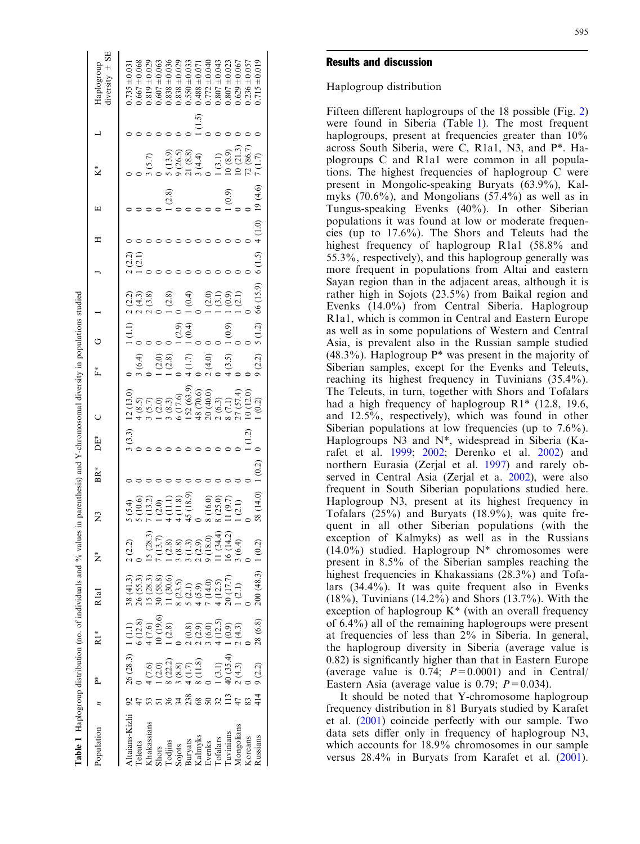| Table 1 Haplogroup distribution (no. of individuals and % values in parenthesis) and Y-chromosomal diversity in populations studied |                 |                                                                                            |                                                                                    |                                                                                                                                                      |                                                                                                     |                      |     |       |            |        |                                        |           |        |        |         |                                                        |                              |                                 |
|-------------------------------------------------------------------------------------------------------------------------------------|-----------------|--------------------------------------------------------------------------------------------|------------------------------------------------------------------------------------|------------------------------------------------------------------------------------------------------------------------------------------------------|-----------------------------------------------------------------------------------------------------|----------------------|-----|-------|------------|--------|----------------------------------------|-----------|--------|--------|---------|--------------------------------------------------------|------------------------------|---------------------------------|
| Population                                                                                                                          |                 | Ä                                                                                          | i∗<br>R                                                                            | Rlal                                                                                                                                                 | ž                                                                                                   | $\tilde{\mathbf{z}}$ | BR* | DE*   |            | *<br>∐ |                                        |           |        |        | щ       | K*                                                     |                              | diversity $\pm$ SE<br>Haplogoup |
| dtaians-Kizhi                                                                                                                       |                 | 26 (28.3)                                                                                  |                                                                                    |                                                                                                                                                      | 2(2.2)                                                                                              | (5.4)                |     | (3.3) | 12(13.0)   |        | $\begin{pmatrix} 1 \\ 2 \end{pmatrix}$ |           | (2.2)  |        |         |                                                        |                              | $0.735 \pm 0.03$                |
| Teleuts                                                                                                                             |                 |                                                                                            |                                                                                    | 38 (41.3)<br>26 (55.3)                                                                                                                               |                                                                                                     | 5(10.6)              |     |       | (8.5)      | 3(6.4) |                                        | 2(4.3)    | (2.1)  |        |         |                                                        |                              | $0.667 \pm 0.068$               |
| Chakassians                                                                                                                         |                 |                                                                                            | $\begin{array}{c} 1 \ (1.1) \\ 6 \ (12.8) \\ 4 \ (7.6) \\ 10 \ (19.6) \end{array}$ | 15(28.3)                                                                                                                                             | .5(28.3)                                                                                            | (13.2)               |     |       | (5.7)      |        |                                        | 2(3.8)    |        |        |         | (5.7)                                                  |                              | $0.819 \pm 0.029$               |
|                                                                                                                                     |                 |                                                                                            |                                                                                    | 30 (58.8)                                                                                                                                            |                                                                                                     | (2.0)                |     |       | (2.0)      | (2.0)  |                                        |           |        |        |         |                                                        |                              | $0.607 \pm 0.063$               |
| Shors<br>Todjins                                                                                                                    |                 |                                                                                            |                                                                                    | (30.6)                                                                                                                                               |                                                                                                     | $\Xi$                |     |       | (8.3)      | (2.8)  |                                        | (2.8)     |        |        | (2.8)   |                                                        |                              | $0.838 \pm 0.036$               |
|                                                                                                                                     | $\overline{34}$ |                                                                                            |                                                                                    |                                                                                                                                                      |                                                                                                     | (11.8)               |     |       | 5 (17.6)   |        | (2.9)                                  |           |        |        |         |                                                        |                              | $0.838 \pm 0.029$               |
| Sojots<br>Buryats<br>Kalmyks<br>Evenks                                                                                              | <b>238</b>      | $4 (7.6)$<br>$1 (2.0)$<br>$8 (22.2)$<br>$3 (8.8)$<br>$4 (1.7)$<br>$8 (11.8)$<br>$8 (11.8)$ |                                                                                    | $\begin{array}{l} 8 & (23.5) \\ 5 & (2.1) \\ 5 & (5.9) \\ 4 & (5.9) \\ 7 & (14.5) \\ 1 & (12.5) \\ 2 & (17.7) \\ 1 & (2.1) \\ 1 & (2.1) \end{array}$ | 7 (13.7)<br>1 (2.8)<br>1 (2.8)<br>3 (3.8)<br>3 (13.0)<br>2 (34.4)<br>1 (34.4)<br>1 (4.2)<br>1 (6.4) | (18.9)               |     |       | (52(63.9)) | 4(1.7) | (0.4)                                  | (0.4)     |        |        |         | $(13.9)$<br>$(26.5)$<br>$(26.5)$<br>$(3.8)$<br>$(4.4)$ |                              | $0.550 \pm 0.033$               |
|                                                                                                                                     |                 |                                                                                            |                                                                                    |                                                                                                                                                      |                                                                                                     |                      |     |       | 48 (70.6)  |        |                                        |           |        |        |         |                                                        | $\left( \frac{5}{2} \right)$ | $0.488 \pm 0.07$                |
|                                                                                                                                     |                 |                                                                                            |                                                                                    |                                                                                                                                                      |                                                                                                     | 8 (16.0)             |     |       | 20 (40.0)  | 2(4.0) |                                        | (2.0)     |        |        |         |                                                        |                              | $0.772 \pm 0.04$                |
| <b>Fofalars</b>                                                                                                                     |                 | (3.1)                                                                                      |                                                                                    |                                                                                                                                                      |                                                                                                     | 8(25.0)              |     |       | 2(6.3)     |        |                                        | (3.1)     |        |        |         | (3.1)                                                  |                              | $0.807 \pm 0.043$               |
| arvinians                                                                                                                           |                 | 40(35.4)                                                                                   |                                                                                    |                                                                                                                                                      |                                                                                                     | (9.7)                |     |       | 8 (7.1)    | (3.5)  | (0.9)                                  | (0.9)     |        |        | (6.9)   | (6.8.9)                                                |                              | $0.807 \pm 0.022$               |
| Mongolians                                                                                                                          |                 | (4.3)                                                                                      |                                                                                    |                                                                                                                                                      |                                                                                                     | (2.1)                |     |       | 27 (57.4)  |        |                                        | (2.1)     |        |        |         | 10(21.3)                                               |                              | $0.629 \pm 0.06$                |
| Koreans                                                                                                                             |                 |                                                                                            |                                                                                    |                                                                                                                                                      |                                                                                                     |                      |     |       | 10(12.0)   |        |                                        |           |        |        |         | 72 (86.7)                                              |                              | $0.236 \pm 0.057$               |
| Russians                                                                                                                            | $\frac{4}{14}$  | (2.2)                                                                                      | 28(6.8)                                                                            | 200(48.3)                                                                                                                                            | 1(0.2)                                                                                              | 58 (14.0) 1 (0.2)    |     |       | (0.2)      | (2.2)  | 5(1.2)                                 | 66 (15.9) | 6(1.5) | 4(1.0) | 19(4.6) | $\binom{7}{1}$                                         |                              | $0.715 \pm 0.019$               |
|                                                                                                                                     |                 |                                                                                            |                                                                                    |                                                                                                                                                      |                                                                                                     |                      |     |       |            |        |                                        |           |        |        |         |                                                        |                              |                                 |

# Results and discussion

## Haplogroup distribution

Fifteen different haplogroups of the 18 possible (Fig. [2](#page-3-0)) were found in Siberia (Table 1). The most frequent haplogroups, present at frequencies greater than  $10\%$ across South Siberia, were C, R1a1, N3, and P\*. Haplogroups C and R1a1 were common in all populations. The highest frequencies of haplogroup C were present in Mongolic-speaking Buryats (63.9%), Kalmyks (70.6%), and Mongolians (57.4%) as well as in Tungus-speaking Evenks (40%). In other Siberian populations it was found at low or moderate frequencies (up to 17.6%). The Shors and Teleuts had the highest frequency of haplogroup R1a1 (58.8% and 55.3%, respectively), and this haplogroup generally was more frequent in populations from Altai and eastern Sayan region than in the adjacent areas, although it is rather high in Sojots (23.5%) from Baikal region and Evenks (14.0%) from Central Siberia. Haplogroup R1a1, which is common in Central and Eastern Europe as well as in some populations of Western and Central Asia, is prevalent also in the Russian sample studied  $(48.3\%)$ . Haplogroup  $P^*$  was present in the majority of Siberian samples, except for the Evenks and Teleuts, reaching its highest frequency in Tuvinians (35.4%). The Teleuts, in turn, together with Shors and Tofalars had a high frequency of haplogroup R1\* (12.8, 19.6, and 12.5%, respectively), which was found in other Siberian populations at low frequencies (up to 7.6%). Haplogroups N3 and N\*, widespread in Siberia (Ka[rafet et al.](#page-12-0) 1999; [2002](#page-12-0); Derenko et al. [2002](#page-11-0)) and northern Eurasia (Zerjal et al. [1997\)](#page-13-0) and rarely observed in Central Asia (Zerjal et a. [2002](#page-13-0)), were also frequent in South Siberian populations studied here. Haplogroup N3, present at its highest frequency in Tofalars (25%) and Buryats (18.9%), was quite frequent in all other Siberian populations (with the exception of Kalmyks) as well as in the Russians  $(14.0\%)$  studied. Haplogroup N\* chromosomes were present in 8.5% of the Siberian samples reaching the highest frequencies in Khakassians (28.3%) and Tofalars (34.4%). It was quite frequent also in Evenks (18%), Tuvinians (14.2%) and Shors (13.7%). With the exception of haplogroup K\* (with an overall frequency of 6.4%) all of the remaining haplogroups were present at frequencies of less than 2% in Siberia. In general, the haplogroup diversity in Siberia (average value is 0.82) is significantly higher than that in Eastern Europe (average value is 0.74;  $P=0.0001$ ) and in Central Eastern Asia (average value is 0.79;  $P = 0.034$ ).

It should be noted that Y-chromosome haplogroup frequency distribution in 81 Buryats studied by Karafet et al. ([2001](#page-12-0)) coincide perfectly with our sample. Two data sets differ only in frequency of haplogroup N3, which accounts for 18.9% chromosomes in our sample versus 28.4% in Buryats from Karafet et al. ([2001\)](#page-12-0).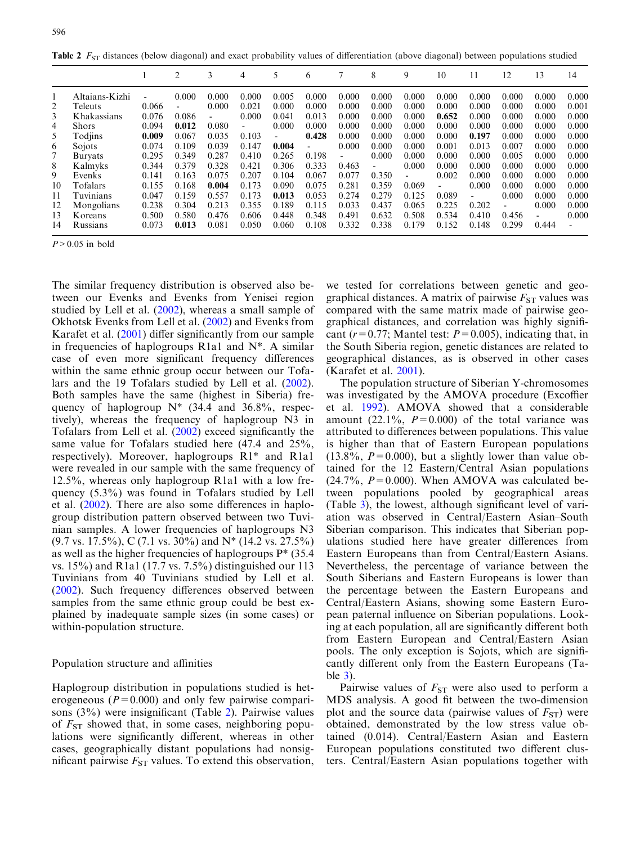**Table 2**  $F_{ST}$  distances (below diagonal) and exact probability values of differentiation (above diagonal) between populations studied

|    |                |                | $\overline{c}$ | 3     | 4     | 5                        | 6     |                          | 8                        | 9     | 10                       |       | 12                       | 13    | 14                       |
|----|----------------|----------------|----------------|-------|-------|--------------------------|-------|--------------------------|--------------------------|-------|--------------------------|-------|--------------------------|-------|--------------------------|
|    | Altaians-Kizhi | $\overline{a}$ | 0.000          | 0.000 | 0.000 | 0.005                    | 0.000 | 0.000                    | 0.000                    | 0.000 | 0.000                    | 0.000 | 0.000                    | 0.000 | 0.000                    |
| 2  | Teleuts        | 0.066          |                | 0.000 | 0.021 | 0.000                    | 0.000 | 0.000                    | 0.000                    | 0.000 | 0.000                    | 0.000 | 0.000                    | 0.000 | 0.001                    |
| 3  | Khakassians    | 0.076          | 0.086          | -     | 0.000 | 0.041                    | 0.013 | 0.000                    | 0.000                    | 0.000 | 0.652                    | 0.000 | 0.000                    | 0.000 | 0.000                    |
| 4  | <b>Shors</b>   | 0.094          | 0.012          | 0.080 |       | 0.000                    | 0.000 | 0.000                    | 0.000                    | 0.000 | 0.000                    | 0.000 | 0.000                    | 0.000 | 0.000                    |
| 5  | Todjins        | 0.009          | 0.067          | 0.035 | 0.103 | $\overline{\phantom{a}}$ | 0.428 | 0.000                    | 0.000                    | 0.000 | 0.000                    | 0.197 | 0.000                    | 0.000 | 0.000                    |
| 6  | Sojots         | 0.074          | 0.109          | 0.039 | 0.147 | 0.004                    |       | 0.000                    | 0.000                    | 0.000 | 0.001                    | 0.013 | 0.007                    | 0.000 | 0.000                    |
|    | <b>Buryats</b> | 0.295          | 0.349          | 0.287 | 0.410 | 0.265                    | 0.198 | $\overline{\phantom{0}}$ | 0.000                    | 0.000 | 0.000                    | 0.000 | 0.005                    | 0.000 | 0.000                    |
| 8  | Kalmyks        | 0.344          | 0.379          | 0.328 | 0.421 | 0.306                    | 0.333 | 0.463                    | $\overline{\phantom{0}}$ | 0.000 | 0.000                    | 0.000 | 0.000                    | 0.000 | 0.000                    |
| 9  | Evenks         | 0.141          | 0.163          | 0.075 | 0.207 | 0.104                    | 0.067 | 0.077                    | 0.350                    |       | 0.002                    | 0.000 | 0.000                    | 0.000 | 0.000                    |
| 10 | Tofalars       | 0.155          | 0.168          | 0.004 | 0.173 | 0.090                    | 0.075 | 0.281                    | 0.359                    | 0.069 | $\overline{\phantom{0}}$ | 0.000 | 0.000                    | 0.000 | 0.000                    |
| 11 | Tuvinians      | 0.047          | 0.159          | 0.557 | 0.173 | 0.013                    | 0.053 | 0.274                    | 0.279                    | 0.125 | 0.089                    |       | 0.000                    | 0.000 | 0.000                    |
| 12 | Mongolians     | 0.238          | 0.304          | 0.213 | 0.355 | 0.189                    | 0.115 | 0.033                    | 0.437                    | 0.065 | 0.225                    | 0.202 | $\overline{\phantom{0}}$ | 0.000 | 0.000                    |
| 13 | Koreans        | 0.500          | 0.580          | 0.476 | 0.606 | 0.448                    | 0.348 | 0.491                    | 0.632                    | 0.508 | 0.534                    | 0.410 | 0.456                    | -     | 0.000                    |
| 14 | Russians       | 0.073          | 0.013          | 0.081 | 0.050 | 0.060                    | 0.108 | 0.332                    | 0.338                    | 0.179 | 0.152                    | 0.148 | 0.299                    | 0.444 | $\overline{\phantom{a}}$ |

 $P > 0.05$  in bold

The similar frequency distribution is observed also between our Evenks and Evenks from Yenisei region studied by Lell et al. [\(2002\)](#page-12-0), whereas a small sample of Okhotsk Evenks from Lell et al. ([2002](#page-12-0)) and Evenks from Karafet et al. [\(2001\)](#page-12-0) differ significantly from our sample in frequencies of haplogroups R1a1 and N\*. A similar case of even more significant frequency differences within the same ethnic group occur between our Tofalars and the 19 Tofalars studied by Lell et al. ([2002\)](#page-12-0). Both samples have the same (highest in Siberia) frequency of haplogroup  $N^*$  (34.4 and 36.8%, respectively), whereas the frequency of haplogroup N3 in Tofalars from Lell et al. [\(2002](#page-12-0)) exceed significantly the same value for Tofalars studied here (47.4 and 25%, respectively). Moreover, haplogroups R1\* and R1a1 were revealed in our sample with the same frequency of 12.5%, whereas only haplogroup R1a1 with a low frequency (5.3%) was found in Tofalars studied by Lell et al. ([2002](#page-12-0)). There are also some differences in haplogroup distribution pattern observed between two Tuvinian samples. A lower frequencies of haplogroups N3  $(9.7 \text{ vs. } 17.5\%)$ , C (7.1 vs. 30%) and N<sup>\*</sup> (14.2 vs. 27.5%) as well as the higher frequencies of haplogroups P\* (35.4 vs. 15%) and R1a1 (17.7 vs. 7.5%) distinguished our 113 Tuvinians from 40 Tuvinians studied by Lell et al. ([2002\)](#page-12-0). Such frequency differences observed between samples from the same ethnic group could be best explained by inadequate sample sizes (in some cases) or within-population structure.

## Population structure and affinities

Haplogroup distribution in populations studied is heterogeneous ( $P=0.000$ ) and only few pairwise comparisons (3%) were insignificant (Table 2). Pairwise values of  $F_{ST}$  showed that, in some cases, neighboring populations were significantly different, whereas in other cases, geographically distant populations had nonsignificant pairwise  $F_{ST}$  values. To extend this observation,

we tested for correlations between genetic and geographical distances. A matrix of pairwise  $F_{ST}$  values was compared with the same matrix made of pairwise geographical distances, and correlation was highly significant ( $r=0.77$ ; Mantel test:  $P=0.005$ ), indicating that, in the South Siberia region, genetic distances are related to geographical distances, as is observed in other cases [\(Karafet et al.](#page-12-0) 2001).

The population structure of Siberian Y-chromosomes was investigated by the AMOVA procedure (Excoffier et al. [1992](#page-12-0)). AMOVA showed that a considerable amount (22.1%,  $P=0.000$ ) of the total variance was attributed to differences between populations. This value is higher than that of Eastern European populations  $(13.8\%, P=0.000)$ , but a slightly lower than value obtained for the 12 Eastern/Central Asian populations  $(24.7\%, P=0.000)$ . When AMOVA was calculated between populations pooled by geographical areas (Table [3\), the lowest, although significant level of vari](#page-6-0)[ation was observed in Central/Eastern Asian–South](#page-6-0) [Siberian comparison. This indicates that Siberian pop](#page-6-0)[ulations studied here have greater differences from](#page-6-0) [Eastern Europeans than from Central/Eastern Asians.](#page-6-0) [Nevertheless, the percentage of variance between the](#page-6-0) [South Siberians and Eastern Europeans is lower than](#page-6-0) [the percentage between the Eastern Europeans and](#page-6-0) [Central/Eastern Asians, showing some Eastern Euro](#page-6-0)[pean paternal influence on Siberian populations. Look](#page-6-0)[ing at each population, all are significantly different both](#page-6-0) [from Eastern European and Central/Eastern Asian](#page-6-0) [pools. The only exception is Sojots, which are signifi](#page-6-0)[cantly different only from the Eastern Europeans \(Ta](#page-6-0)[ble](#page-6-0) 3).

Pairwise values of  $F_{ST}$  were also used to perform a MDS analysis. A good fit between the two-dimension plot and the source data (pairwise values of  $F_{ST}$ ) were obtained, demonstrated by the low stress value obtained (0.014). Central/Eastern Asian and Eastern European populations constituted two different clusters. Central/Eastern Asian populations together with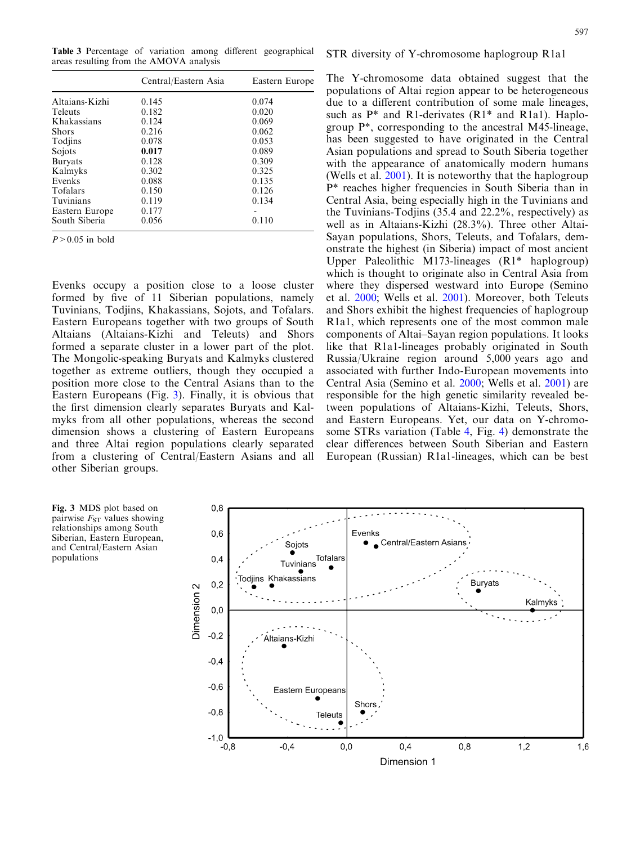<span id="page-6-0"></span>Table 3 Percentage of variation among different geographical areas resulting from the AMOVA analysis

|                | Central/Eastern Asia | Eastern Europe |
|----------------|----------------------|----------------|
| Altaians-Kizhi | 0.145                | 0.074          |
| <b>Teleuts</b> | 0.182                | 0.020          |
| Khakassians    | 0.124                | 0.069          |
| <b>Shors</b>   | 0.216                | 0.062          |
| Todjins        | 0.078                | 0.053          |
| Sojots         | 0.017                | 0.089          |
| <b>Buryats</b> | 0.128                | 0.309          |
| Kalmyks        | 0.302                | 0.325          |
| Evenks         | 0.088                | 0.135          |
| Tofalars       | 0.150                | 0.126          |
| Tuvinians      | 0.119                | 0.134          |
| Eastern Europe | 0.177                |                |
| South Siberia  | 0.056                | 0.110          |
|                |                      |                |

 $P > 0.05$  in bold

Evenks occupy a position close to a loose cluster formed by five of 11 Siberian populations, namely Tuvinians, Todjins, Khakassians, Sojots, and Tofalars. Eastern Europeans together with two groups of South Altaians (Altaians-Kizhi and Teleuts) and Shors formed a separate cluster in a lower part of the plot. The Mongolic-speaking Buryats and Kalmyks clustered together as extreme outliers, though they occupied a position more close to the Central Asians than to the Eastern Europeans (Fig. 3). Finally, it is obvious that the first dimension clearly separates Buryats and Kalmyks from all other populations, whereas the second dimension shows a clustering of Eastern Europeans and three Altai region populations clearly separated from a clustering of Central/Eastern Asians and all other Siberian groups.

STR diversity of Y-chromosome haplogroup R1a1

The Y-chromosome data obtained suggest that the populations of Altai region appear to be heterogeneous due to a different contribution of some male lineages, such as  $P^*$  and R1-derivates (R1 $*$  and R1a1). Haplogroup P\*, corresponding to the ancestral M45-lineage, has been suggested to have originated in the Central Asian populations and spread to South Siberia together with the appearance of anatomically modern humans (Wells et al. [2001](#page-13-0)). It is noteworthy that the haplogroup P\* reaches higher frequencies in South Siberia than in Central Asia, being especially high in the Tuvinians and the Tuvinians-Todjins (35.4 and 22.2%, respectively) as well as in Altaians-Kizhi (28.3%). Three other Altai-Sayan populations, Shors, Teleuts, and Tofalars, demonstrate the highest (in Siberia) impact of most ancient Upper Paleolithic M173-lineages (R1\* haplogroup) which is thought to originate also in Central Asia from where they dispersed westward into Europe (Semino et al. [2000](#page-12-0); Wells et al. [2001\)](#page-13-0). Moreover, both Teleuts and Shors exhibit the highest frequencies of haplogroup R1a1, which represents one of the most common male components of Altai–Sayan region populations. It looks like that R1a1-lineages probably originated in South Russia/Ukraine region around 5,000 years ago and associated with further Indo-European movements into Central Asia (Semino et al. [2000](#page-12-0); Wells et al. [2001\)](#page-13-0) are responsible for the high genetic similarity revealed between populations of Altaians-Kizhi, Teleuts, Shors, and Eastern Europeans. Yet, our data on Y-chromosome STRs variation (Table 4, Fig. [4\) demonstrate the](#page-10-0) [clear differences between South Siberian and Eastern](#page-10-0) [European \(Russian\) R1a1-lineages, which can be best](#page-10-0)



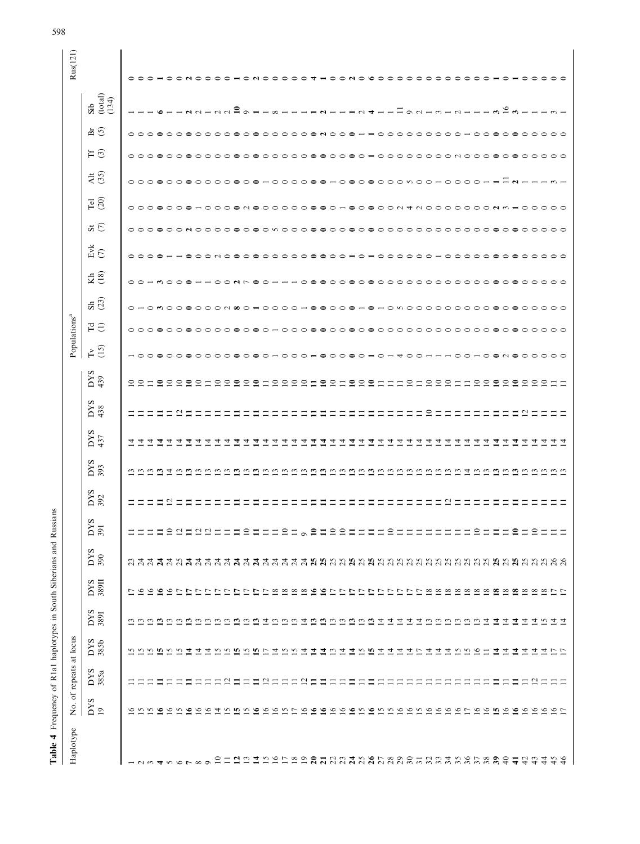| Haplotype                                                                                                                                                                                                                                                                                                                                                                                                                                                   |                                                                      | No. of repeats at locus |                                                                             |             |                          |                |                              |            |                                      |                |                             |                                                      | Populations <sup>a</sup>           |            |                 |                                                                      |                                |                           |                                                 |                           |                               |                                     | Rus(121)   |
|-------------------------------------------------------------------------------------------------------------------------------------------------------------------------------------------------------------------------------------------------------------------------------------------------------------------------------------------------------------------------------------------------------------------------------------------------------------|----------------------------------------------------------------------|-------------------------|-----------------------------------------------------------------------------|-------------|--------------------------|----------------|------------------------------|------------|--------------------------------------|----------------|-----------------------------|------------------------------------------------------|------------------------------------|------------|-----------------|----------------------------------------------------------------------|--------------------------------|---------------------------|-------------------------------------------------|---------------------------|-------------------------------|-------------------------------------|------------|
|                                                                                                                                                                                                                                                                                                                                                                                                                                                             | <b>DYS</b><br>$\overline{19}$                                        | $_{385a}$               | DYS<br>385b                                                                 | DYS<br>389I | DYS<br>389II             | $rac{50}{390}$ | S<br>δR                      | DYS<br>392 | $rac{5}{3}$                          | $_{437}^{DYS}$ | $_{438}^{\rm DY}$           | DYS<br>439                                           | $\Gamma$ <sup>5</sup>              | $E \oplus$ | $\overline{53}$ | E(8)                                                                 | $\check{\mathbb{E}}\mathbb{X}$ | $\overline{\mathbf{5}}$   | $\frac{45}{3}$<br>$\overline{P}$ $\overline{O}$ | $H\odot$                  | $\overline{a}$ $\overline{c}$ | $\frac{\text{Sib}}{\text{(total)}}$ |            |
|                                                                                                                                                                                                                                                                                                                                                                                                                                                             | ७                                                                    |                         | S                                                                           |             | $\overline{\phantom{0}}$ |                |                              |            |                                      | 프              |                             | $\circ$ $\circ$ $\circ$                              |                                    |            |                 | $\circ$<br>$\circ$<br>$\circ$                                        | $\circ \circ \circ \circ$      | $\circ \circ \circ \circ$ | $\circ\circ\circ\circ\circ$                     | $\circ \circ \circ \circ$ |                               |                                     | $\circ$    |
| $\sim$                                                                                                                                                                                                                                                                                                                                                                                                                                                      | 5<br>5<br>5                                                          |                         | <b>555</b>                                                                  |             | $\sigma$ $\sigma$        |                | HHESQEQQHHESEHRHASEESSEHHSHH |            |                                      | 4              |                             |                                                      |                                    |            |                 | $\circ$ $\circ$                                                      |                                |                           |                                                 |                           |                               |                                     | $\circ$    |
|                                                                                                                                                                                                                                                                                                                                                                                                                                                             | ص                                                                    |                         |                                                                             |             | $\tilde{ }$              |                |                              |            |                                      | 4              |                             | $\mathbf{e}$                                         |                                    |            |                 |                                                                      |                                |                           |                                                 |                           |                               |                                     |            |
|                                                                                                                                                                                                                                                                                                                                                                                                                                                             |                                                                      |                         | $\overline{5}$                                                              |             |                          |                |                              |            | $\overline{4}$                       | 4              |                             |                                                      |                                    |            | $\circ$         | $\circ$                                                              | $\circ$                        | $\circ$                   |                                                 | $\circ$                   |                               |                                     |            |
| $\circ$ $\sim$                                                                                                                                                                                                                                                                                                                                                                                                                                              | $\sigma \sim \sigma$                                                 |                         | $\overline{c}$                                                              |             |                          |                |                              |            | $\sim$                               | ᅿ              | $\overline{\mathcal{C}}$    | ೕ                                                    | ⊝                                  |            |                 |                                                                      |                                | $\bigcap$                 | $\circ$ $\circ$                                 | $\circ$                   |                               |                                     |            |
| $\infty$                                                                                                                                                                                                                                                                                                                                                                                                                                                    | $\circ$                                                              |                         | 코<br>$\overline{4}$                                                         |             | 2222                     |                |                              |            | $\mathfrak{c}$<br>w                  | ᡪ<br>↴         |                             | $\circ$                                              | $\circ$                            |            |                 | ⊂                                                                    | $\supset$                      |                           | $\circ$                                         | $\circ$                   |                               |                                     |            |
|                                                                                                                                                                                                                                                                                                                                                                                                                                                             |                                                                      |                         |                                                                             |             |                          |                |                              |            | $\tilde{\phantom{a}}$                | 4              |                             | $\overline{\phantom{0}}$                             |                                    |            |                 | $\bigcirc$                                                           | $\bigcirc$                     | $\overline{\phantom{1}}$  | $\circ$                                         |                           |                               |                                     |            |
| $\supseteq$                                                                                                                                                                                                                                                                                                                                                                                                                                                 | $\sim 4$                                                             |                         | <b>MADALANA MARY 21</b>                                                     |             | $\overline{C}$           |                |                              |            | $\tilde{ }$                          | 4              |                             |                                                      |                                    |            |                 |                                                                      |                                |                           | $\overline{\phantom{1}}$                        |                           |                               |                                     |            |
|                                                                                                                                                                                                                                                                                                                                                                                                                                                             |                                                                      | $\sim$                  |                                                                             |             | $\overline{C}$           |                |                              |            |                                      | ↴              |                             | $\circ$ $\circ$ $\circ$                              |                                    |            |                 |                                                                      |                                |                           | $\overline{\phantom{1}}$                        |                           |                               |                                     |            |
|                                                                                                                                                                                                                                                                                                                                                                                                                                                             |                                                                      |                         |                                                                             |             |                          |                |                              |            | $\mathfrak{c}$<br>ొ                  | 4<br>4         |                             | $\circ$                                              |                                    |            |                 | $\bigcirc$                                                           |                                |                           |                                                 |                           |                               | ≘                                   |            |
|                                                                                                                                                                                                                                                                                                                                                                                                                                                             |                                                                      | Ξ                       |                                                                             |             |                          |                |                              |            | S                                    | 4              |                             | $\mathbf{C}$                                         |                                    |            |                 |                                                                      |                                | $\blacksquare$            |                                                 |                           |                               |                                     |            |
|                                                                                                                                                                                                                                                                                                                                                                                                                                                             |                                                                      |                         |                                                                             |             |                          |                |                              |            |                                      | 4              |                             | ⊣                                                    |                                    |            |                 | ⊝                                                                    |                                | ⌒                         |                                                 |                           |                               |                                     |            |
|                                                                                                                                                                                                                                                                                                                                                                                                                                                             |                                                                      | $\approx$ $\approx$     |                                                                             |             |                          |                |                              |            | $\epsilon$                           | 4              |                             |                                                      |                                    |            |                 | $\circ$                                                              |                                | $\overline{\phantom{0}}$  | ⌒                                               | $\overline{\phantom{1}}$  |                               |                                     |            |
|                                                                                                                                                                                                                                                                                                                                                                                                                                                             |                                                                      | $\equiv$                |                                                                             |             |                          |                |                              |            | $\tilde{\phantom{a}}$                | 4              |                             | 999                                                  |                                    |            |                 | $\bigcirc$                                                           | $\bigcirc$                     | $\circ$                   | $\circ$                                         | $\circ$                   |                               |                                     |            |
|                                                                                                                                                                                                                                                                                                                                                                                                                                                             |                                                                      | $\equiv$                |                                                                             |             |                          |                |                              |            | Ĵ<br>$\mathfrak{c}$                  | 4              |                             | $\circ$                                              |                                    |            |                 | $\bigcirc$<br>ᅌ                                                      | $\circ$                        | $\circ$<br>$\bigcap$      | $\circ$                                         | $\circ$<br>$\circ$        |                               |                                     |            |
|                                                                                                                                                                                                                                                                                                                                                                                                                                                             |                                                                      | $\simeq$ $\simeq$       |                                                                             |             |                          |                |                              |            | $\omega$                             | 4<br>4         |                             | −                                                    |                                    |            |                 |                                                                      |                                | $\bullet$                 | $\circ$ $\circ$                                 | $\bullet$                 |                               |                                     |            |
|                                                                                                                                                                                                                                                                                                                                                                                                                                                             |                                                                      |                         |                                                                             |             |                          |                |                              |            | نی                                   | 4              |                             | $\mathbf{e}$                                         |                                    |            |                 | ≘                                                                    |                                | $\bullet$                 | $\epsilon$                                      | $\overline{\phantom{0}}$  |                               |                                     |            |
|                                                                                                                                                                                                                                                                                                                                                                                                                                                             |                                                                      |                         |                                                                             |             |                          |                |                              |            | w                                    | 4              |                             | $\circ$                                              |                                    |            |                 | ⊂<br>⊂                                                               |                                | $\overline{\phantom{0}}$  |                                                 | $\circ$                   |                               |                                     |            |
|                                                                                                                                                                                                                                                                                                                                                                                                                                                             |                                                                      |                         |                                                                             |             |                          |                |                              |            | $\omega$ $\omega$                    | 4              |                             | $\overline{\phantom{0}}$                             |                                    |            |                 | ⌒                                                                    |                                |                           | $\circ$ $\circ$                                 | $\bigcap$                 |                               |                                     |            |
|                                                                                                                                                                                                                                                                                                                                                                                                                                                             |                                                                      |                         |                                                                             |             |                          |                |                              |            |                                      | ᅕ              |                             | ≘                                                    |                                    |            |                 |                                                                      |                                |                           |                                                 | $\blacksquare$            |                               |                                     |            |
|                                                                                                                                                                                                                                                                                                                                                                                                                                                             |                                                                      |                         |                                                                             |             |                          |                |                              |            | $\tilde{\epsilon}$<br>బ              | 4<br>4         |                             | $\circ$<br>$\mathbf{e}$                              |                                    |            |                 | ⊂<br>$\Rightarrow$<br>≘                                              |                                | $\circ$<br>$\bullet$      | $\circ$<br>$\bullet$                            | $\circ$                   |                               |                                     | ص          |
|                                                                                                                                                                                                                                                                                                                                                                                                                                                             |                                                                      |                         |                                                                             |             |                          |                |                              |            |                                      | 4              |                             | ▀                                                    |                                    |            |                 | ⌒<br>$\bigcirc$                                                      | $\circ$                        |                           |                                                 |                           |                               |                                     | ⌒          |
|                                                                                                                                                                                                                                                                                                                                                                                                                                                             |                                                                      |                         |                                                                             |             |                          |                |                              |            | $\omega$ $\omega$                    | 4              |                             | $\overline{\phantom{0}}$                             |                                    |            |                 | $\circ$                                                              | $\bigcirc$                     | 00N                       | $\circ$ $\circ$                                 | $\circ$ $\circ$           |                               |                                     |            |
|                                                                                                                                                                                                                                                                                                                                                                                                                                                             |                                                                      |                         | <b>MANAZZA MANAZZA</b>                                                      |             |                          |                |                              |            | $\omega$                             | 4              |                             | $\equiv$                                             | ⊂                                  | $\supset$  |                 | $\bigcirc$<br>$\bigcirc$<br>$\bigcirc$                               | $\bigcirc$                     |                           | $\circ$                                         | $\circ$<br>$\circ$        |                               |                                     | $\bigcirc$ |
|                                                                                                                                                                                                                                                                                                                                                                                                                                                             |                                                                      |                         |                                                                             |             |                          |                |                              |            | $\tilde{\phantom{a}}$                | 4<br>4         |                             | $\subseteq$<br>$\equiv$                              |                                    |            | ⌒               | $\bigcirc$<br>$\bigcirc$<br>$\bigcirc$                               | $\bigcirc$<br>$\bigcirc$       | $\overline{ }$<br>$\sim$  | $\sim$<br>$\circ$                               | $\bigcap$                 |                               |                                     |            |
|                                                                                                                                                                                                                                                                                                                                                                                                                                                             |                                                                      |                         |                                                                             |             |                          |                |                              |            | $\omega$ $\omega$                    | 4              | ్                           |                                                      |                                    |            |                 | $\circ$<br>$\circ$                                                   |                                |                           | $\overline{\phantom{0}}$                        | $\overline{\phantom{0}}$  |                               |                                     |            |
|                                                                                                                                                                                                                                                                                                                                                                                                                                                             |                                                                      |                         |                                                                             |             |                          |                |                              |            | $\sim$                               | 4              |                             | $\circ$ $\circ$ $\circ$                              |                                    |            | $\epsilon$      | $\bigcirc$                                                           | $\bigcirc$                     | $\circ$ $\circ$ $\circ$   |                                                 | $\circ$                   |                               |                                     |            |
|                                                                                                                                                                                                                                                                                                                                                                                                                                                             |                                                                      |                         |                                                                             |             |                          |                |                              |            | w                                    | 4              |                             |                                                      |                                    |            | $\supset$       | $\bigcirc$<br>$\bigcirc$                                             | $\bigcirc$                     |                           | $\bigcirc$                                      | $\bigcirc$                |                               |                                     |            |
| $\mathfrak{A}\cap\mathfrak{A}\cap\mathfrak{A}\cap\mathfrak{A}\cap\mathfrak{A}\cap\mathfrak{A}\cap\mathfrak{A}\cap\mathfrak{A}\cap\mathfrak{A}\cap\mathfrak{A}\cap\mathfrak{A}\cap\mathfrak{A}\cap\mathfrak{A}\cap\mathfrak{A}\cap\mathfrak{A}\cap\mathfrak{A}\cap\mathfrak{A}\cap\mathfrak{A}\cap\mathfrak{A}\cap\mathfrak{A}\cap\mathfrak{A}\cap\mathfrak{A}\cap\mathfrak{A}\cap\mathfrak{A}\cap\mathfrak{A}\cap\mathfrak{A}\cap\mathfrak{A}\cap\mathfrak$ | n n n n coon r o coo coo n c n n o c n o c c r o c n c c n c c c c c |                         | $\begin{array}{c}\n\Xi \;\mathbb{C} \;\mathbb{C} \;\mathbb{C}\n\end{array}$ |             |                          |                | ================             |            | $\tilde{\epsilon}$<br>$\overline{4}$ | 4<br>4         |                             | $\overline{\phantom{0}}$<br>$\overline{\phantom{0}}$ |                                    |            | ⌒               | $\Rightarrow$<br>$\bigcap$<br>$\bigcirc$<br>$\overline{\phantom{1}}$ | $\bigcirc$<br>$\circ$          | $\cap$ $\cap$ $\cap$      | $\bigcirc$<br>$\bigcap$                         | $\bigcap$<br>$\sim$       |                               |                                     |            |
|                                                                                                                                                                                                                                                                                                                                                                                                                                                             |                                                                      |                         |                                                                             |             |                          |                |                              |            | $\omega$                             | 4              |                             |                                                      |                                    |            | ⊂               | $\supset$<br>$\supset$                                               | $\supset$                      |                           | $\subset$                                       | $\bigcap$                 |                               |                                     |            |
|                                                                                                                                                                                                                                                                                                                                                                                                                                                             |                                                                      |                         | $\equiv$                                                                    |             |                          |                |                              |            |                                      | 4              |                             | $\supseteq$                                          | ≏                                  |            | ⊂               | $\bigcirc$<br>$\supset$                                              |                                | $\overline{\phantom{0}}$  |                                                 |                           |                               |                                     |            |
|                                                                                                                                                                                                                                                                                                                                                                                                                                                             |                                                                      |                         | 4                                                                           |             |                          |                |                              |            |                                      | ₹              |                             | $\epsilon$                                           |                                    |            |                 |                                                                      |                                |                           |                                                 |                           |                               |                                     |            |
|                                                                                                                                                                                                                                                                                                                                                                                                                                                             |                                                                      |                         | $\overline{4}$<br>코                                                         |             |                          |                |                              |            | <u>nnnn</u>                          | 4              |                             |                                                      | $\overline{\phantom{0}}$<br>$\sim$ |            | ⌒               | $\bigcirc$<br>$\overline{\phantom{0}}$<br>$\overline{\phantom{1}}$   | $\Rightarrow$                  |                           |                                                 |                           |                               | $\tilde{e}$                         |            |
|                                                                                                                                                                                                                                                                                                                                                                                                                                                             |                                                                      |                         |                                                                             |             |                          |                |                              |            |                                      | 호<br>4         | $\mathcal{L}_{\mathcal{L}}$ |                                                      | $\circ$                            |            | ⊖               | $\circ$<br>$\circ$                                                   | $\circ$                        |                           |                                                 |                           |                               |                                     |            |
|                                                                                                                                                                                                                                                                                                                                                                                                                                                             |                                                                      | $\overline{\omega}$     | 그 그                                                                         |             |                          |                |                              |            | ن ن                                  | 4              | Ξ                           | 00000                                                | $\circ$                            |            | ⊖               | $\circ$<br>$\circ$                                                   | ⊝                              |                           |                                                 |                           |                               |                                     |            |
|                                                                                                                                                                                                                                                                                                                                                                                                                                                             |                                                                      |                         |                                                                             |             |                          |                |                              |            | $\omega$                             | 4              |                             |                                                      | ⌒                                  |            | ⌒               | $\bigcirc$<br>⊝                                                      | ⊂                              |                           |                                                 |                           |                               |                                     |            |
|                                                                                                                                                                                                                                                                                                                                                                                                                                                             |                                                                      |                         | $\frac{1}{4}$                                                               |             |                          |                |                              |            | ن ن                                  | ব ব            |                             | - -                                                  | $\circ$ $\circ$                    |            | $\circ$ $\circ$ | $\circ$<br>$\circ$ $\circ$                                           | $\circ$                        | $\cap$ $\cap$             |                                                 |                           |                               |                                     |            |
|                                                                                                                                                                                                                                                                                                                                                                                                                                                             |                                                                      |                         |                                                                             |             |                          |                |                              |            |                                      |                |                             |                                                      |                                    |            |                 |                                                                      |                                |                           |                                                 |                           |                               |                                     |            |

<span id="page-7-0"></span>598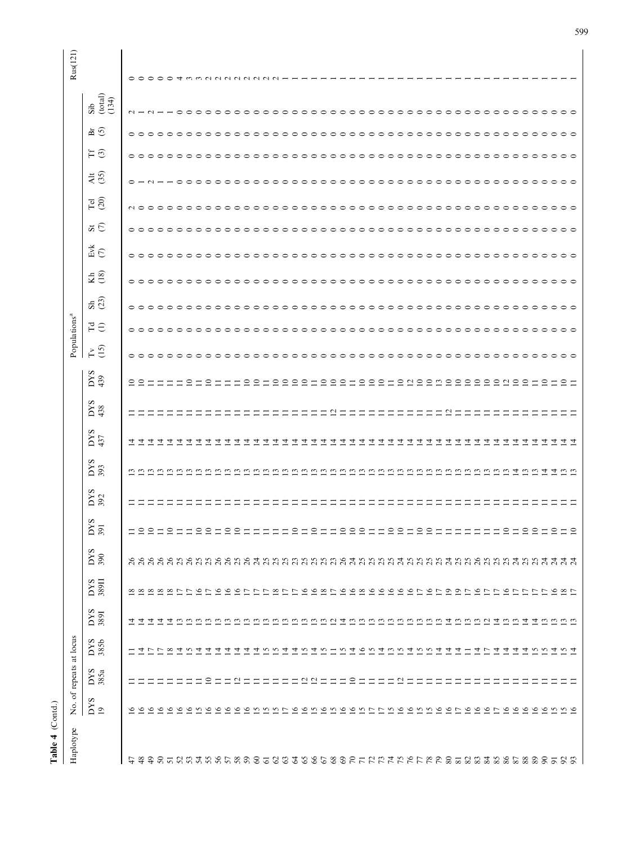| Table 4 (Contd.)                                                                                      |                                                                                                                                                                                                                                                                                                                                                                                                                                 |                                                                                                                                                      |                                                                                                                                                                                                     |                                                                                                |              |                                                                           |                                                                                                                                                                                                                                                                                                       |            |                                                                                                                                      |                                                                  |                              |                                                                                                                        |                                                                                                                                                                                                                                                                                                                                                                                                                                     |                                                                                                                                                                                                                                                                                                                                                                                             |                                                                                                                                                                                               |                                                                                            |                                                                                                                                                                                                                                                                                                                                                                                                |                                                                                                                                                                        |                                                                                                                                                                                                                                                                                                                                                                                                                                                                                                                                                                                                                                                                                                                                                                                                            |                                                                                                                                                                                                                                                                                                                      |                                                                                                                                                                                                                                                                                                                                                                                                                                                                                                                                                           |                                                                                                                                        |                                     |                                                        |
|-------------------------------------------------------------------------------------------------------|---------------------------------------------------------------------------------------------------------------------------------------------------------------------------------------------------------------------------------------------------------------------------------------------------------------------------------------------------------------------------------------------------------------------------------|------------------------------------------------------------------------------------------------------------------------------------------------------|-----------------------------------------------------------------------------------------------------------------------------------------------------------------------------------------------------|------------------------------------------------------------------------------------------------|--------------|---------------------------------------------------------------------------|-------------------------------------------------------------------------------------------------------------------------------------------------------------------------------------------------------------------------------------------------------------------------------------------------------|------------|--------------------------------------------------------------------------------------------------------------------------------------|------------------------------------------------------------------|------------------------------|------------------------------------------------------------------------------------------------------------------------|-------------------------------------------------------------------------------------------------------------------------------------------------------------------------------------------------------------------------------------------------------------------------------------------------------------------------------------------------------------------------------------------------------------------------------------|---------------------------------------------------------------------------------------------------------------------------------------------------------------------------------------------------------------------------------------------------------------------------------------------------------------------------------------------------------------------------------------------|-----------------------------------------------------------------------------------------------------------------------------------------------------------------------------------------------|--------------------------------------------------------------------------------------------|------------------------------------------------------------------------------------------------------------------------------------------------------------------------------------------------------------------------------------------------------------------------------------------------------------------------------------------------------------------------------------------------|------------------------------------------------------------------------------------------------------------------------------------------------------------------------|------------------------------------------------------------------------------------------------------------------------------------------------------------------------------------------------------------------------------------------------------------------------------------------------------------------------------------------------------------------------------------------------------------------------------------------------------------------------------------------------------------------------------------------------------------------------------------------------------------------------------------------------------------------------------------------------------------------------------------------------------------------------------------------------------------|----------------------------------------------------------------------------------------------------------------------------------------------------------------------------------------------------------------------------------------------------------------------------------------------------------------------|-----------------------------------------------------------------------------------------------------------------------------------------------------------------------------------------------------------------------------------------------------------------------------------------------------------------------------------------------------------------------------------------------------------------------------------------------------------------------------------------------------------------------------------------------------------|----------------------------------------------------------------------------------------------------------------------------------------|-------------------------------------|--------------------------------------------------------|
| Haplotype                                                                                             |                                                                                                                                                                                                                                                                                                                                                                                                                                 | No. of repeats at locus                                                                                                                              |                                                                                                                                                                                                     |                                                                                                |              |                                                                           |                                                                                                                                                                                                                                                                                                       |            |                                                                                                                                      |                                                                  |                              |                                                                                                                        |                                                                                                                                                                                                                                                                                                                                                                                                                                     | Populations <sup>a</sup>                                                                                                                                                                                                                                                                                                                                                                    |                                                                                                                                                                                               |                                                                                            |                                                                                                                                                                                                                                                                                                                                                                                                |                                                                                                                                                                        |                                                                                                                                                                                                                                                                                                                                                                                                                                                                                                                                                                                                                                                                                                                                                                                                            |                                                                                                                                                                                                                                                                                                                      |                                                                                                                                                                                                                                                                                                                                                                                                                                                                                                                                                           |                                                                                                                                        |                                     | Rus(121)                                               |
|                                                                                                       | $\frac{5}{19}$                                                                                                                                                                                                                                                                                                                                                                                                                  | $_{385a}$                                                                                                                                            | DYS<br>385b                                                                                                                                                                                         | DYS<br>3891                                                                                    | DYS<br>389II | $\frac{500}{500}$                                                         | DYS<br>391                                                                                                                                                                                                                                                                                            | DYS<br>392 | $rac{5}{3}$                                                                                                                          | $_{437}^{DYS}$                                                   | $_{438}^{\rm \times V}$      | DYS<br>439                                                                                                             | $E \n\Omega$                                                                                                                                                                                                                                                                                                                                                                                                                        | $E \oplus$                                                                                                                                                                                                                                                                                                                                                                                  | $\overline{53}$                                                                                                                                                                               | $\mathop{\mathrm{Kh}}\nolimits$ (18)                                                       | $\vec{E}$ )                                                                                                                                                                                                                                                                                                                                                                                    | $\vec{a} \in$                                                                                                                                                          | $\overline{\Gamma}$ el                                                                                                                                                                                                                                                                                                                                                                                                                                                                                                                                                                                                                                                                                                                                                                                     | $\frac{41}{25}$                                                                                                                                                                                                                                                                                                      | $H \odot$                                                                                                                                                                                                                                                                                                                                                                                                                                                                                                                                                 | $\overline{a}$ $\overline{c}$                                                                                                          | $\frac{\text{Sib}}{\text{(total)}}$ |                                                        |
| 66688555665858585858588858558<br>63<br>$\mathcal{Z}$<br>$\mathcal{S}$<br>$\ddot{t}$<br>$\overline{5}$ | $\circ$<br>$\sim$<br>$\circ$<br>$\omega$<br>$\bullet$<br>$\circ$<br>$\circ$<br>$\sim$<br>$\tilde{=}$<br>$\circ$<br>$\tilde{9}$<br>$\circ$<br>$\circ$<br>$\circ$<br>$\circ$<br>$\circ$<br>S<br>$\circ$<br>$\circ$<br>$\circ$<br>$\circ$<br>$\circ$<br>S<br>S<br>$\sim$<br>$\overline{r}$<br>۹<br>57<br>7<br>S<br>$\circ$<br>$\sim$<br>$\circ$<br>$\circ$<br>$\triangleright$<br>$\circ$<br>$\circ$<br>ب ہ<br>$\tilde{=}$<br>ಅಲ್ಲ | $\subseteq$<br>$\subseteq$<br>$\overline{c}$<br>$\overline{\omega}$ $\overline{\omega}$<br>$\mathbf{a}$<br>$\Box$<br>Ξ<br>Ξ<br>Ξ<br>Ξ<br>Ξ<br>Ξ<br>Ξ | 4<br>$\infty$<br>4<br>S<br>4<br>4<br>4<br>n<br>4<br>4<br>4<br>S<br>S<br>4<br>ے<br>S<br>4<br>w<br>S<br>4<br>ω,<br>S<br>4<br>4<br>4<br>4<br>4<br>4<br>4<br>4<br>S<br>J.<br>4<br>4<br>↴<br>S<br>n<br>Ë | 츠<br>न न<br>4<br>500000000000000000000000000000000000<br><u>호</u><br><u>ggggtggttgggg</u><br>4 |              | ននននននិងជំនន់នាងមានដឹងដូច ដឹងដូច ដឹងដូច ដឹងដូច ដឹងដូច ដឹងដូច ដឹងដូច ដឹងដូ | = = = = = = = = = = =<br>$\approx$<br>$\equiv$<br>$\Xi \Xi \Xi$<br>$\Xi \cong$<br>$\circ$<br>$\Xi \Xi$ $\Xi$<br>$\subseteq$<br>$\subseteq$<br>$\equiv$<br>$\equiv$<br>$\circ$<br>$\subseteq$<br>$\equiv$<br>$\circ$<br>$\supseteq$<br>$\equiv$<br>$\Xi \Xi$<br>$\Xi$<br>$\Xi$ $2$ $\Xi$ $2$ $\Xi$ $2$ |            | w<br>$\tilde{\omega}$<br>$\overline{a}$<br>S<br>$\mathfrak{c}$<br>$\omega$ $\omega$<br>$\omega$<br>$\omega$<br>$\tilde{\omega}$<br>w | <u>चित्वचन्क</u><br>च च<br><u>विववव</u><br>च च<br>च च च<br>न न न | $\mathbf{a}$<br>$\mathbf{c}$ | 9999199919991<br>999999999999959595<br>9955<br>$2-$<br>$\circ$ $\overline{\phantom{0}}$<br>227<br>$\equiv$<br>$\equiv$ | $\circ$<br>⌒<br>$\overline{\phantom{0}}$<br>$\circ$<br>$\overline{\phantom{1}}$<br>$\overline{\phantom{0}}$<br>$\overline{\phantom{0}}$<br>$\overline{\phantom{0}}$<br>$\bigcap$<br>$\overline{\phantom{1}}$<br>$\overline{\phantom{0}}$<br>$\bigcap$<br>$\circ$ $\circ$<br>$\supset$<br>$\circ$ $\circ$<br>$\circ$<br>$\bigcap$<br>$\bigcap$<br>$\overline{\phantom{0}}$<br>$\supset$<br>⌒<br>$\overline{\phantom{0}}$<br>-------- | $\circ$ $\circ$ $\circ$<br>$\circ$ $\circ$ $\circ$<br>$\overline{\phantom{1}}$<br>$\supset$<br>$\bigcap$<br>$\bigcap$<br>$\sim$<br>$\bigcap$<br>$\overline{\phantom{0}}$<br>$\supset$<br>$\overline{\phantom{1}}$<br>$\circ$<br>$\circ$<br>$\circ$<br>$\circ$<br>$\circ$<br>ററ<br>$\circ$<br>$\circ$ $\circ$ $\circ$<br>$\circ$<br>$\cap$ $\cap$ $\cap$<br>$\cap$ $\cap$ $\cap$<br>-------- | $\circ$<br>$\circ$<br>$\bigcirc$<br>$\circ$<br>$\circ$<br>$\circ$<br>$\circ$<br>$\circ$<br>$\circ$<br>$\circ$<br>$\circ$<br>$\circ \circ \circ$<br>$\circ$<br>$\circ$<br>$\supset$<br>$\circ$ | $\circ$<br>$\circ$<br>$\circ$<br>$\circ$<br>$\circ$<br>$\circ \circ \circ$<br>$\circ$<br>⊖ | 00000<br>$\overline{\phantom{1}}$<br>$\overline{\phantom{1}}$<br>$\overline{\phantom{0}}$<br>$\overline{\phantom{1}}$<br>$\cap$ $\cap$<br>$\overline{\phantom{1}}$<br>$\bigcap$<br>$\bigcap$<br>$\overline{\phantom{0}}$<br>$\bigcap$<br>$\bigcap$<br>$\overline{\phantom{0}}$<br>$\circ$<br>$\circ$ $\circ$ $\circ$<br>$\circ$ $\circ$ $\circ$<br>$\bigcap$<br>$\circ$ $\circ$<br>----------- | $\begin{array}{cccccccccccccc} \circ & \circ & \circ & \circ & \circ & \circ & \circ & \circ & \circ \end{array}$<br>$\circ$ $\circ$ $\circ$<br>$\circ\circ\circ\circ$ | $\circ$<br>$\bigcirc$<br>$\bigcirc$<br>$\circ$<br>$\circ$<br>$\circ$<br>$\circ$<br>$\circ$<br>$\circ$<br>$\circ$<br>$\circ$ $\circ$<br>$\circ$<br>$\circ$<br>$\circ$<br>$\circ$<br>$\circ$<br>$\circ$<br>$\circ$<br>$\circ$<br>$\circ$<br>$\circ$ $\circ$<br>$\circ$<br>$\circ$ $\circ$<br>$\circ$<br>$\circ \circ \circ$<br>$\circ$<br>$\circ$<br>$\circ$<br>$\circ$<br>$\circ$<br>$\circ$<br>$\sim$<br>$\circ$<br>$\circ$<br>$\bigcirc$<br>$\bigcirc$<br>$\circ$<br>$\bigcirc$<br>$\circ$<br>$\circ$<br>$\circ$<br>$\circ$<br>$\circ$<br>$\bigcirc$<br>$\circ$<br>$\circ$<br>$\circ$<br>$\circ$<br>$\circ$<br>$\bigcirc$<br>$\circ$<br>$\circ$<br>$\circ$<br>$\circ$<br>$\circ$<br>$\circ$<br>$\circ$<br>$\circ$<br>$\circ$<br>$\circ$<br>$\circ$<br>$\circ$<br>$\circ$<br>$\circ$<br>$\circ$<br>$\circ$ | $\circ$ $\circ$<br>$\circ$ $\circ$<br>$\circ$ $\circ$<br>$\circ$<br>$\circ$<br>$\circ$<br>$\circ$<br>$\circ$ $\circ$<br>$\circ$<br>$\circ \circ \circ$<br>$\circ$<br>$\circ \circ \circ$<br>$\circ \circ \circ$<br>$\circ \circ \circ$<br>$\circ \circ \circ$<br>$\circ$<br>$\circ$<br>$\circ$<br>$\circ$<br>$\circ$ | $\circ\circ\circ\circ\circ\circ\circ$<br>$\circ$<br>$\circ$<br>$\circ$<br>$\circ$<br>$\circ$<br>$\circ$<br>$\circ$<br>$\circ$ $\circ$<br>$\circ$<br>$\circ$ $\circ$<br>$\circ$<br>$\begin{array}{c} \circ \circ \circ \circ \circ \circ \circ \circ \end{array}$<br>$\circ$<br>$\circ$ $\circ$<br>$\circ$<br>$\circ$ $\circ$<br>$\circ$<br>$\circ$<br>$\circ$<br>$\circ$<br>$\circ$<br>$\circ$<br>$\circ$ $\circ$<br>$\circ$<br>$\supset$<br>$\circ$<br>$\circ$<br>$\circ \circ \circ$<br>$\circ$<br>$\circ$<br>$\circ$<br>$\circ$<br>$\circ \circ \circ$ | $\sim$<br>$\overline{\phantom{1}}$<br>$\bigcap$<br>$\bigcap$<br>$\overline{\phantom{0}}$<br>$\overline{\phantom{1}}$<br>$\bigcap$<br>⌒ |                                     | $\circ\circ\circ\circ\circ$<br>4.5<br>$\sim$<br>$\sim$ |
|                                                                                                       |                                                                                                                                                                                                                                                                                                                                                                                                                                 |                                                                                                                                                      | $0 \leq$                                                                                                                                                                                            |                                                                                                |              |                                                                           |                                                                                                                                                                                                                                                                                                       |            |                                                                                                                                      |                                                                  |                              |                                                                                                                        |                                                                                                                                                                                                                                                                                                                                                                                                                                     |                                                                                                                                                                                                                                                                                                                                                                                             | $\circ$ $\circ$                                                                                                                                                                               | $\circ$                                                                                    |                                                                                                                                                                                                                                                                                                                                                                                                |                                                                                                                                                                        | $\circ$<br>$\circ$ $\circ$                                                                                                                                                                                                                                                                                                                                                                                                                                                                                                                                                                                                                                                                                                                                                                                 | $\circ$                                                                                                                                                                                                                                                                                                              | $\circ$ $\circ$                                                                                                                                                                                                                                                                                                                                                                                                                                                                                                                                           |                                                                                                                                        |                                     |                                                        |

599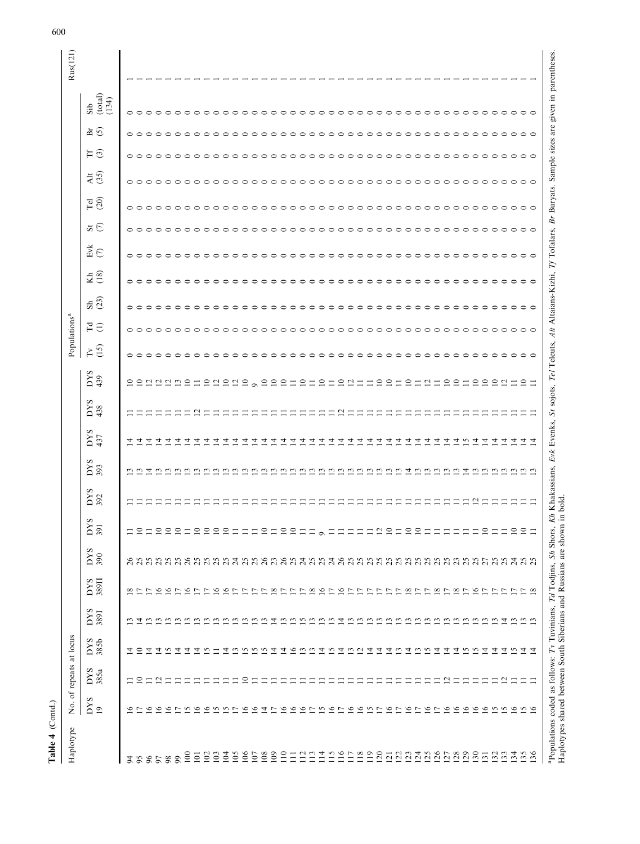| Haplotype                                                                                                                                                                                                                                                                                                                                                                                                                                                                                                                                                               |                                                                                                                                                                                                                                                                            | No. of repeats at locus                                                   |                                                                                                                                                                                               |                                                         |                                                                                                                                                                                                                                 |                   |                                                                                                                                                                                                                                                                                                                             |            |                                                                                                                                                                                                                                                                                          |                                                                                                                                                                      |                |                                                                                                                                                                       |                              | Populations <sup>a</sup>                                                                                                                                                                                                                                                                                                                                                                                                                          |                                                                             |                                                     |                                                                                                                                                                                                                                                                                                                                          |                                                                                                                                                                                                                    |                                                                                      |                                                                                                                                               |                                                                                                                                                              |                                                                                                                                              | Rus(121) |
|-------------------------------------------------------------------------------------------------------------------------------------------------------------------------------------------------------------------------------------------------------------------------------------------------------------------------------------------------------------------------------------------------------------------------------------------------------------------------------------------------------------------------------------------------------------------------|----------------------------------------------------------------------------------------------------------------------------------------------------------------------------------------------------------------------------------------------------------------------------|---------------------------------------------------------------------------|-----------------------------------------------------------------------------------------------------------------------------------------------------------------------------------------------|---------------------------------------------------------|---------------------------------------------------------------------------------------------------------------------------------------------------------------------------------------------------------------------------------|-------------------|-----------------------------------------------------------------------------------------------------------------------------------------------------------------------------------------------------------------------------------------------------------------------------------------------------------------------------|------------|------------------------------------------------------------------------------------------------------------------------------------------------------------------------------------------------------------------------------------------------------------------------------------------|----------------------------------------------------------------------------------------------------------------------------------------------------------------------|----------------|-----------------------------------------------------------------------------------------------------------------------------------------------------------------------|------------------------------|---------------------------------------------------------------------------------------------------------------------------------------------------------------------------------------------------------------------------------------------------------------------------------------------------------------------------------------------------------------------------------------------------------------------------------------------------|-----------------------------------------------------------------------------|-----------------------------------------------------|------------------------------------------------------------------------------------------------------------------------------------------------------------------------------------------------------------------------------------------------------------------------------------------------------------------------------------------|--------------------------------------------------------------------------------------------------------------------------------------------------------------------------------------------------------------------|--------------------------------------------------------------------------------------|-----------------------------------------------------------------------------------------------------------------------------------------------|--------------------------------------------------------------------------------------------------------------------------------------------------------------|----------------------------------------------------------------------------------------------------------------------------------------------|----------|
|                                                                                                                                                                                                                                                                                                                                                                                                                                                                                                                                                                         | <b>DYS</b><br>$\overline{19}$                                                                                                                                                                                                                                              | DYS<br>385a                                                               | DYS<br>385b                                                                                                                                                                                   | <b>SAG</b><br>3891                                      | 389II<br><b>SAG</b>                                                                                                                                                                                                             | <b>SAG</b><br>390 | DYS<br>391                                                                                                                                                                                                                                                                                                                  | DYS<br>392 | $rac{66}{303}$                                                                                                                                                                                                                                                                           | $_{437}^{DS}$                                                                                                                                                        | $_{438}^{DYS}$ | DYS<br>439                                                                                                                                                            | (15)<br>$\widetilde{\Gamma}$ | $F \ominus$                                                                                                                                                                                                                                                                                                                                                                                                                                       | $\overline{53}$                                                             | E(8)                                                | $E$ <sub>K</sub> $\overline{C}$                                                                                                                                                                                                                                                                                                          | $\vec{a} \in$                                                                                                                                                                                                      | $\overline{\mathrm{P}}$ 00                                                           | $\frac{45}{30}$                                                                                                                               | $H\odot$                                                                                                                                                     | (total)<br>(134)<br>Sib<br>$\overline{a}$ $\overline{c}$                                                                                     |          |
| 100<br>88<br>96<br>$\overline{5}$<br>65<br>97                                                                                                                                                                                                                                                                                                                                                                                                                                                                                                                           | $\circ$<br>$\circ$<br>$\circ$<br>$\circ$<br>$\triangleright$                                                                                                                                                                                                               | ≘<br>$\mathbf{a}$<br>⊣<br>Ξ<br>Ξ<br>Ξ                                     | r.<br>4<br>$\overline{4}$<br>츠<br>$\circ$<br>4<br>$\overline{4}$                                                                                                                              | 으로                                                      | $\frac{8}{2}$<br>$\tilde{e}$<br>$\overline{6}$<br>$\overline{ }$<br>$\overline{\phantom{0}}$                                                                                                                                    |                   | $\approx$<br><b>HAAAAHAA</b><br>$\Box$                                                                                                                                                                                                                                                                                      |            | 4<br>$\omega$<br>$\overline{c}$<br>$\overline{c}$<br>$\omega$ $\omega$                                                                                                                                                                                                                   | ユュユユ<br>4<br>4<br>4                                                                                                                                                  |                | 222225212                                                                                                                                                             | $\circ$ $\circ$              | $\circ$ $\circ$<br>$\overline{\phantom{0}}$                                                                                                                                                                                                                                                                                                                                                                                                       | $\circ$ $\circ$<br>$\bigcap$<br>$\circ$<br>$\overline{\phantom{0}}$         | $\circ$<br>$\circ$<br>$\circ$<br>$\circ$<br>$\circ$ | $\circ$ $\circ$<br>$\circ$ $\circ$<br>$\circ$<br>$\circ$                                                                                                                                                                                                                                                                                 | $\circ\circ\circ\circ\circ$<br>$\circ$ $\circ$ $\circ$                                                                                                                                                             | $\bullet$<br>$\circ$                                                                 |                                                                                                                                               | 。。。。。。。。。                                                                                                                                                    | $\circ$<br>$\bullet$<br>$\circ$<br>$\bigcirc$<br>$\bigcirc$                                                                                  |          |
| $\approx$<br>105<br>$\geq$<br>$\Xi$<br>102<br>$\overline{5}$<br>$\overline{0}$                                                                                                                                                                                                                                                                                                                                                                                                                                                                                          | 0.6<br>$\circ$<br>v<br>$\sim$ $\sim$<br>$\circ$<br>$\circ$                                                                                                                                                                                                                 | ≘<br>Ξ<br>Ξ<br>Ξ                                                          | 4<br>S<br>호<br>$\tilde{\omega}$<br>ن ن                                                                                                                                                        |                                                         | $\tilde{\sigma}$<br>$\circ$<br>$\tilde{e}$<br>$\overline{ }$<br>r,<br>$\overline{ }$<br>$\overline{ }$                                                                                                                          |                   | $\mathop{\supseteq}\limits_{}^{} \mathop{\supseteq}\limits_{}^{} \mathop{\supseteq}\limits_{}^{}$<br>$\Xi \equiv \Xi$                                                                                                                                                                                                       |            | $\omega$ $\omega$ $\omega$<br>$\tilde{\epsilon}$<br>$\ddot{ }$<br>$\tilde{c}$<br>ن ن                                                                                                                                                                                                     | च च<br>4<br>4<br>$\overline{4}$<br>च च च                                                                                                                             | $\mathbf{C}$   | $\begin{array}{ccc}\n 2 & 2 & 2 & 2 \\  & 3 & 2 & 3\n \end{array}$                                                                                                    |                              | $\overline{\phantom{1}}$                                                                                                                                                                                                                                                                                                                                                                                                                          | $\overline{\phantom{0}}$                                                    |                                                     | $\overline{\phantom{0}}$<br>$\bigcap$<br>$\circ$<br>$\overline{\phantom{1}}$<br>⌒<br>$\overline{\phantom{0}}$                                                                                                                                                                                                                            | $\circ$<br>$\circ$<br>$\circ$<br>$\circ$<br>$\circ$ $\circ$                                                                                                                                                        |                                                                                      | $\circ$                                                                                                                                       | $\circ$<br>$\circ$<br>$\circ$<br>$\circ$<br>$\circ$<br>$\circ$                                                                                               | $\Rightarrow$<br>$\Rightarrow$                                                                                                               |          |
| $\overline{08}$<br>$\overline{0}$<br>$\Xi$<br>$\Xi$<br>$\Xi$<br>Ξ                                                                                                                                                                                                                                                                                                                                                                                                                                                                                                       | 4<br>$\circ$<br>$\circ$<br>$\circ$<br>$\overline{ }$<br>$\overline{ }$                                                                                                                                                                                                     | Ξ<br>Ξ<br>⋍                                                               | S<br>코<br>호<br>$\tilde{e}$<br>$\omega$<br>$\omega$                                                                                                                                            | ᅺ<br>$\tilde{\omega}$                                   | $\frac{8}{2}$<br>$\infty$<br>$\overline{ }$<br>L.<br>P.                                                                                                                                                                         |                   | $\equiv$<br>$\ensuremath{\mathop{\rule{0pt}{0pt}}\nolimits}$<br>$\overline{10}$<br>$\equiv$<br>$\equiv$                                                                                                                                                                                                                     |            | $\omega$<br>$\mathbf{C}$<br>$\mathbf{r}$<br>$\overline{c}$<br>ن ن                                                                                                                                                                                                                        | $\overline{4}$<br>4<br>4<br>च च                                                                                                                                      |                | 220<br>$\subseteq$<br>$\equiv$<br>$\equiv$                                                                                                                            |                              | $\overline{\phantom{0}}$<br>$\overline{\phantom{0}}$<br>$\bigcap$<br>$\overline{\phantom{0}}$                                                                                                                                                                                                                                                                                                                                                     | $\overline{\phantom{0}}$<br>$\supset$<br>◓<br>⌒<br>$\overline{\phantom{0}}$ |                                                     | $\circ$<br>$\circ$<br>$\circ$<br>$\circ$<br>$\circ$<br>$\circ$                                                                                                                                                                                                                                                                           | $\circ$<br>$\circ$<br>$\circ$<br>$\circ$ $\circ$<br>$\circ$                                                                                                                                                        | $\circ$<br>$\circ$<br>$\circ$                                                        | $\circ \circ \circ \circ \circ$<br>$\circ \circ \circ \circ \circ$                                                                            | $\circ$<br>$\circ$<br>$\circ$<br>$\circ$<br>$\circ$<br>$\circ$                                                                                               | $\bigcirc$<br>$\Rightarrow$                                                                                                                  |          |
| "Populations coded as follows: Tv Tuvinians, 7d Todjins, Sh Shors, Kh Khakassians, Evk Evenks, Sr sojots, 7el Teleuts, Alt Altaians-Kizhi, 7f Tofalars, Br Buryats. Sample sizes are given in parentheses.<br>Haplotypes shared b<br><sup>a</sup> Populations coded as follows: Tv Tuvinians, Td Todjins, Sh Shors,<br>115<br>116<br>$\overline{19}$<br>$\overline{20}$<br>$\overline{25}$<br>30<br>$\overline{14}$<br>$\frac{17}{18}$<br>125<br>$\frac{28}{29}$<br>$\frac{51}{2}$<br>133<br>$3\frac{3}{5}$<br>36<br>$\overline{21}$<br>$\frac{23}{2}$<br>$\mathcal{L}$ | J.<br>$\circ$<br>$\overline{ }$<br>$\circ$<br>$\circ$<br>$\sim$<br>D<br>$\tilde{\mathbf{e}}$<br>$\ddot{\bullet}$<br>$\overline{ }$<br>$\circ$<br>$\overline{ }$<br>$\circ$<br>$\circ$<br>$\circ$<br>$\circ$<br>$\circ$<br><b>SS</b><br>$\circ$<br>$\sim$<br>$\overline{ }$ | $\mathcal{L}_{\mathcal{A}}$<br>Ξ<br>⊣<br>Ξ<br>$\mathbf{a}$<br>Ξ<br>Ξ<br>Ξ | $\omega$<br>$\omega$<br>호<br>$\tilde{\bm{\omega}}$<br>4<br>$\omega$ $\omega$<br>4<br>코<br>호<br>$\omega$<br>$\omega$<br>4<br>4<br>4<br>S<br>4<br>4<br>4<br>$\ddot{u}$ $\vec{q}$ $\vec{q}$<br>4 | ᅺ<br>ssanas<br>sanga<br>ュ<br>$\omega$ $\omega$ $\omega$ | $\tilde{e}$<br>$\tilde{9}$<br>$\infty$<br>$\infty$<br>$\infty$ $\sim$<br>$\circ$<br>$\sim \infty$<br>$\overline{ }$<br>$\overline{ }$<br>L.<br>r,<br>D<br>D<br>L.<br>$\overline{ }$<br>D<br>$\overline{ }$<br>D<br>D<br>ŋ<br>r, |                   | $\overline{10}$<br>$\overline{10}$<br>$\overline{10}$<br>$\equiv$<br>$\equiv$<br>$\overline{10}$<br>$\equiv$<br>$\overline{10}$<br>$\overline{c}$<br>$\equiv$<br>$\equiv$<br>$\equiv$<br>$\equiv$<br>$\equiv$<br>$\equiv$<br>$\supseteq$<br>$\equiv$<br>$\equiv$<br>$\equiv$<br>$\equiv$<br>$\equiv$<br>$\equiv$<br>$\circ$ | $\sim$     | $\mathbf{C}$<br>$\omega$<br>$\mathbf{r}$<br>$\overline{c}$<br><u>ొ</u><br>$\omega$<br>$\mathbf{r}$<br>$\overline{c}$<br>$\overline{c}$<br>$\overline{4}$<br>$\omega$<br>$\frac{13}{2}$<br>$\Xi$<br>$\overline{4}$<br>$\overline{c}$<br><u>ొ</u><br>$\mathfrak{D}$ $\mathfrak{D}$<br>ن، ن | $\overline{4}$<br>$\overline{4}$<br>$\overline{4}$<br>$\overline{4}$<br>4.6<br>4<br>4<br>4<br>$\overline{4}$<br>च च<br>4<br>च च<br>4<br>4<br>4<br>4<br>4<br>4<br>न न | L,             | = 22 = = 22<br>$\equiv$ $\equiv$ $\equiv$<br>$\subseteq$<br>$\subseteq$<br>$\subseteq$<br>22222<br>$\subseteq$<br>$\overline{\mathcal{C}}$<br>$\subseteq$<br>$\equiv$ |                              | $\overline{\phantom{1}}$<br>$\overline{\phantom{1}}$<br>$\overline{\phantom{0}}$<br>$\overline{\phantom{0}}$<br>$\overline{\phantom{0}}$<br>$\overline{\phantom{1}}$<br>$\overline{\phantom{1}}$<br>$\overline{\phantom{1}}$<br>$\overline{\phantom{0}}$<br>$\overline{\phantom{0}}$<br>$\overline{\phantom{1}}$<br>$\overline{\phantom{0}}$<br>$\overline{\phantom{0}}$<br>$\circ$<br>$\overline{\phantom{0}}$<br>$\circ$<br>$\supset$<br>⌒<br>⌒ | ⌒<br>⌒<br>⌒<br>⌒<br>$\supset$<br>⌒                                          |                                                     | $\overline{\phantom{0}}$<br>$\circ$<br>$\circ$<br>$\circ$<br>$\circ$<br>$\circ$<br>$\circ$<br>$\supset$<br>$\supset$<br>$\overline{\phantom{1}}$<br>$\overline{\phantom{0}}$<br>$\overline{\phantom{0}}$<br>$\overline{\phantom{0}}$<br>$\overline{\phantom{1}}$<br>$\overline{\phantom{1}}$<br>⌒<br>$\circ$<br>$\overline{\phantom{0}}$ | $\circ$ $\circ$<br>$\circ$<br>$\circ$ $\circ$<br>$\circ$<br>$\circ$<br>$\circ$<br>$\circ$<br>$\circ$<br>$\circ$<br>$\bigcirc$<br>$\circ$<br>$\circ$ $\circ$<br>$\circ$<br>$\circ$<br>$\circ$<br>$\circ$<br>$\circ$ | $\circ$<br>$\circ$<br>$\circ$<br>$\circ$<br>$\circ$<br>$\circ$<br>$\circ$<br>$\circ$ | $\circ \circ \circ \circ \circ$<br>$\circ$<br>$\circ$<br>$\circ$<br>$\circ$<br>$\circ$<br>$\circ$<br>$\circ$<br>$\circ$<br>$\circ$<br>$\circ$ | $\circ$<br>$\circ$<br>$\circ$<br>$\circ$<br>$\circ$<br>$\circ$<br>$\circ$<br>$\circ$<br>$\circ$<br>$\circ$<br>$\circ$<br>$\bigcirc$<br>$\circ$<br>$\bigcirc$ | $\circ$<br>$\bigcirc$<br>$\bigcap$<br>$\circ$<br>$\Rightarrow$<br>$\Rightarrow$<br>⌒<br>$\Rightarrow$<br>$\bigcirc$<br>ᅌ<br>ᅌ<br>⌒<br>ᅌ<br>⊝ |          |

600

Table 4 (Contd.)

Table 4 (Contd.)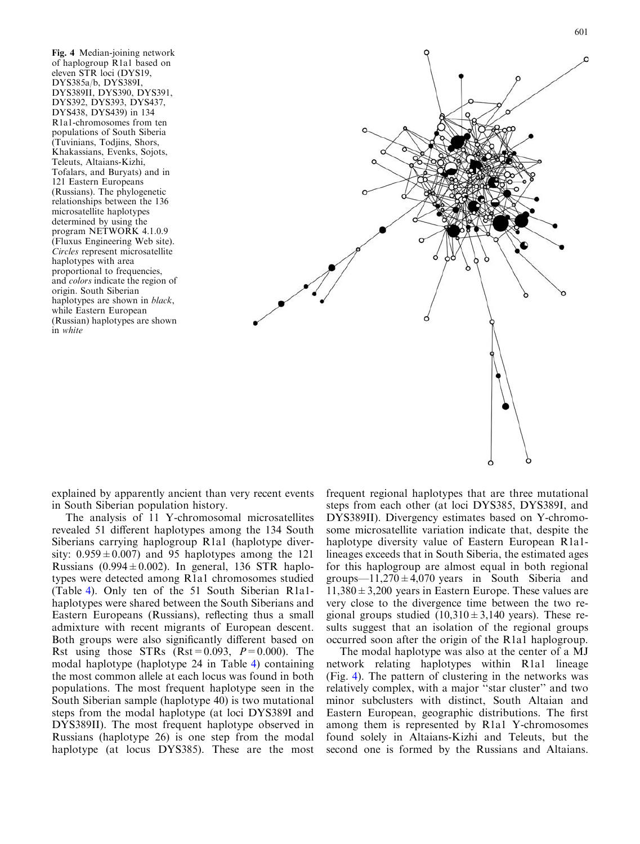<span id="page-10-0"></span>Fig. 4 Median-joining network of haplogroup R1a1 based on eleven STR loci (DYS19, DYS385a/b, DYS389I, DYS389II, DYS390, DYS391, DYS392, DYS393, DYS437, DYS438, DYS439) in 134 R1a1-chromosomes from ten populations of South Siberia (Tuvinians, Todjins, Shors, Khakassians, Evenks, Sojots, Teleuts, Altaians-Kizhi, Tofalars, and Buryats) and in 121 Eastern Europeans (Russians). The phylogenetic relationships between the 136 microsatellite haplotypes determined by using the program NETWORK 4.1.0.9 (Fluxus Engineering Web site). Circles represent microsatellite haplotypes with area proportional to frequencies, and colors indicate the region of origin. South Siberian haplotypes are shown in *black*, while Eastern European (Russian) haplotypes are shown in white



explained by apparently ancient than very recent events in South Siberian population history.

The analysis of 11 Y-chromosomal microsatellites revealed 51 different haplotypes among the 134 South Siberians carrying haplogroup R1a1 (haplotype diversity:  $0.959 \pm 0.007$  and 95 haplotypes among the 121 Russians (0.994 $\pm$ 0.002). In general, 136 STR haplotypes were detected among R1a1 chromosomes studied (Table [4\). Only ten of the 51 South Siberian R1a1](#page-7-0) [haplotypes were shared between the South Siberians and](#page-7-0) [Eastern Europeans \(Russians\), reflecting thus a small](#page-7-0) [admixture with recent migrants of European descent.](#page-7-0) [Both groups were also significantly different based on](#page-7-0) Rst using those STRs  $(Rst = 0.093, P=0.000)$ . The [modal haplotype \(haplotype 24 in Table](#page-7-0) 4) containing [the most common allele at each locus was found in both](#page-7-0) [populations. The most frequent haplotype seen in the](#page-7-0) [South Siberian sample \(haplotype 40\) is two mutational](#page-7-0) [steps from the modal haplotype \(at loci DYS389I and](#page-7-0) [DYS389II\). The most frequent haplotype observed in](#page-7-0) [Russians \(haplotype 26\) is one step from the modal](#page-7-0) [haplotype \(at locus DYS385\). These are the most](#page-7-0) [frequent regional haplotypes that are three mutational](#page-7-0) [steps from each other \(at loci DYS385, DYS389I, and](#page-7-0) [DYS389II\). Divergency estimates based on Y-chromo](#page-7-0)[some microsatellite variation indicate that, despite the](#page-7-0) [haplotype diversity value of Eastern European R1a1](#page-7-0) [lineages exceeds that in South Siberia, the estimated ages](#page-7-0) [for this haplogroup are almost equal in both regional](#page-7-0) groups—11,270 $\pm$ 4,070 years in South Siberia and  $11,380 \pm 3,200$  years in Eastern Europe. These values are [very close to the divergence time between the two re](#page-7-0)gional groups studied  $(10,310 \pm 3,140)$  years). These re[sults suggest that an isolation of the regional groups](#page-7-0) [occurred soon after the origin of the R1a1 haplogroup.](#page-7-0)

The modal haplotype was also at the center of a MJ network relating haplotypes within R1a1 lineage (Fig. 4). The pattern of clustering in the networks was relatively complex, with a major ''star cluster'' and two minor subclusters with distinct, South Altaian and Eastern European, geographic distributions. The first among them is represented by R1a1 Y-chromosomes found solely in Altaians-Kizhi and Teleuts, but the second one is formed by the Russians and Altaians.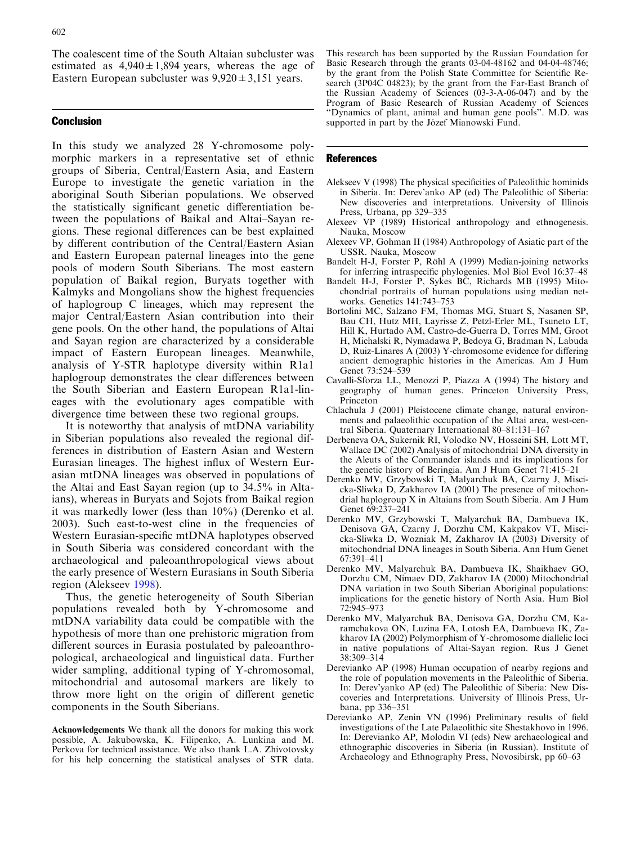<span id="page-11-0"></span>[The coalescent time of the South Altaian subcluster was](#page-10-0) estimated as  $4,940 \pm 1,894$  years, whereas the age of Eastern European subcluster was  $9,920 \pm 3,151$  years.

# **Conclusion**

In this study we analyzed 28 Y-chromosome polymorphic markers in a representative set of ethnic groups of Siberia, Central/Eastern Asia, and Eastern Europe to investigate the genetic variation in the aboriginal South Siberian populations. We observed the statistically significant genetic differentiation between the populations of Baikal and Altai–Sayan regions. These regional differences can be best explained by different contribution of the Central/Eastern Asian and Eastern European paternal lineages into the gene pools of modern South Siberians. The most eastern population of Baikal region, Buryats together with Kalmyks and Mongolians show the highest frequencies of haplogroup C lineages, which may represent the major Central/Eastern Asian contribution into their gene pools. On the other hand, the populations of Altai and Sayan region are characterized by a considerable impact of Eastern European lineages. Meanwhile, analysis of Y-STR haplotype diversity within R1a1 haplogroup demonstrates the clear differences between the South Siberian and Eastern European R1a1-lineages with the evolutionary ages compatible with divergence time between these two regional groups.

It is noteworthy that analysis of mtDNA variability in Siberian populations also revealed the regional differences in distribution of Eastern Asian and Western Eurasian lineages. The highest influx of Western Eurasian mtDNA lineages was observed in populations of the Altai and East Sayan region (up to 34.5% in Altaians), whereas in Buryats and Sojots from Baikal region it was markedly lower (less than 10%) (Derenko et al. 2003). Such east-to-west cline in the frequencies of Western Eurasian-specific mtDNA haplotypes observed in South Siberia was considered concordant with the archaeological and paleoanthropological views about the early presence of Western Eurasians in South Siberia region (Alekseev 1998).

Thus, the genetic heterogeneity of South Siberian populations revealed both by Y-chromosome and mtDNA variability data could be compatible with the hypothesis of more than one prehistoric migration from different sources in Eurasia postulated by paleoanthropological, archaeological and linguistical data. Further wider sampling, additional typing of Y-chromosomal, mitochondrial and autosomal markers are likely to throw more light on the origin of different genetic components in the South Siberians.

Acknowledgements We thank all the donors for making this work possible, A. Jakubowska, K. Filipenko, A. Lunkina and M. Perkova for technical assistance. We also thank L.A. Zhivotovsky for his help concerning the statistical analyses of STR data. This research has been supported by the Russian Foundation for Basic Research through the grants 03-04-48162 and 04-04-48746; by the grant from the Polish State Committee for Scientific Research (3P04C 04823); by the grant from the Far-East Branch of the Russian Academy of Sciences (03-3-A-06-047) and by the Program of Basic Research of Russian Academy of Sciences ''Dynamics of plant, animal and human gene pools''. M.D. was supported in part by the Józef Mianowski Fund.

#### **References**

- Alekseev V (1998) The physical specificities of Paleolithic hominids in Siberia. In: Derev'anko AP (ed) The Paleolithic of Siberia: New discoveries and interpretations. University of Illinois Press, Urbana, pp 329–335
- Alexeev VP (1989) Historical anthropology and ethnogenesis. Nauka, Moscow
- Alexeev VP, Gohman II (1984) Anthropology of Asiatic part of the USSR. Nauka, Moscow
- Bandelt H-J, Forster P, Röhl A (1999) Median-joining networks for inferring intraspecific phylogenies. Mol Biol Evol 16:37–48
- Bandelt H-J, Forster P, Sykes BC, Richards MB (1995) Mitochondrial portraits of human populations using median networks. Genetics 141:743–753
- Bortolini MC, Salzano FM, Thomas MG, Stuart S, Nasanen SP, Bau CH, Hutz MH, Layrisse Z, Petzl-Erler ML, Tsuneto LT, Hill K, Hurtado AM, Castro-de-Guerra D, Torres MM, Groot H, Michalski R, Nymadawa P, Bedoya G, Bradman N, Labuda D, Ruiz-Linares A (2003) Y-chromosome evidence for differing ancient demographic histories in the Americas. Am J Hum Genet 73:524–539
- Cavalli-Sforza LL, Menozzi P, Piazza A (1994) The history and geography of human genes. Princeton University Press, Princeton
- Chlachula J (2001) Pleistocene climate change, natural environments and palaeolithic occupation of the Altai area, west-central Siberia. Quaternary International 80–81:131–167
- Derbeneva OA, Sukernik RI, Volodko NV, Hosseini SH, Lott MT, Wallace DC (2002) Analysis of mitochondrial DNA diversity in the Aleuts of the Commander islands and its implications for the genetic history of Beringia. Am J Hum Genet 71:415–21
- Derenko MV, Grzybowski T, Malyarchuk BA, Czarny J, Miscicka-Sliwka D, Zakharov IA (2001) The presence of mitochondrial haplogroup X in Altaians from South Siberia. Am J Hum Genet 69:237–241
- Derenko MV, Grzybowski T, Malyarchuk BA, Dambueva IK, Denisova GA, Czarny J, Dorzhu CM, Kakpakov VT, Miscicka-Sliwka D, Wozniak M, Zakharov IA (2003) Diversity of mitochondrial DNA lineages in South Siberia. Ann Hum Genet 67:391–411
- Derenko MV, Malyarchuk BA, Dambueva IK, Shaikhaev GO, Dorzhu CM, Nimaev DD, Zakharov IA (2000) Mitochondrial DNA variation in two South Siberian Aboriginal populations: implications for the genetic history of North Asia. Hum Biol 72:945–973
- Derenko MV, Malyarchuk BA, Denisova GA, Dorzhu CM, Karamchakova ON, Luzina FA, Lotosh EA, Dambueva IK, Zakharov IA (2002) Polymorphism of Y-chromosome diallelic loci in native populations of Altai-Sayan region. Rus J Genet 38:309–314
- Derevianko AP (1998) Human occupation of nearby regions and the role of population movements in the Paleolithic of Siberia. In: Derev'yanko AP (ed) The Paleolithic of Siberia: New Discoveries and Interpretations. University of Illinois Press, Urbana, pp 336–351
- Derevianko AP, Zenin VN (1996) Preliminary results of field investigations of the Late Palaeolithic site Shestakhovo in 1996. In: Derevianko AP, Molodin VI (eds) New archaeological and ethnographic discoveries in Siberia (in Russian). Institute of Archaeology and Ethnography Press, Novosibirsk, pp 60–63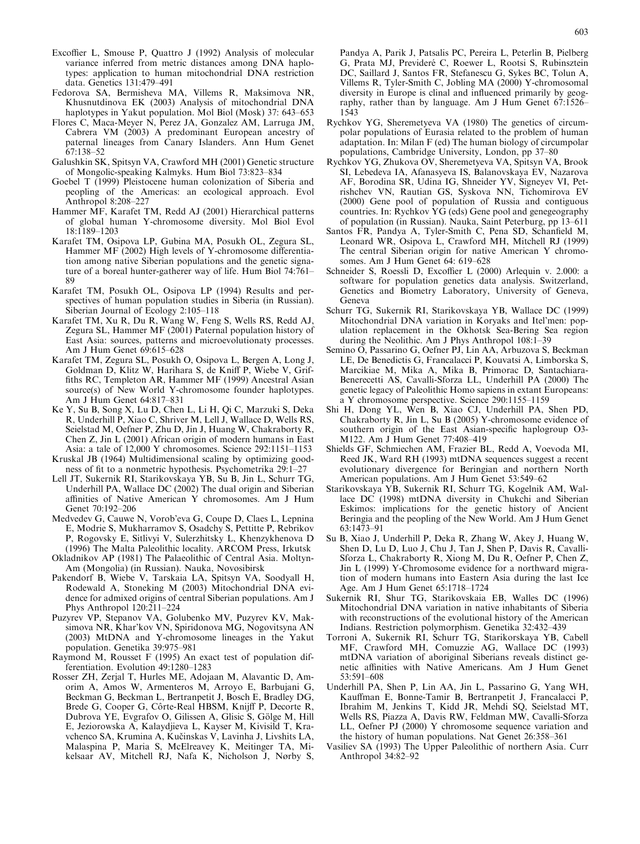- <span id="page-12-0"></span>Excoffier L, Smouse P, Quattro J (1992) Analysis of molecular variance inferred from metric distances among DNA haplotypes: application to human mitochondrial DNA restriction data. Genetics 131:479–491
- Fedorova SA, Bermisheva MA, Villems R, Maksimova NR, Khusnutdinova EK (2003) Analysis of mitochondrial DNA haplotypes in Yakut population. Mol Biol (Mosk) 37: 643–653
- Flores C, Maca-Meyer N, Perez JA, Gonzalez AM, Larruga JM, Cabrera VM (2003) A predominant European ancestry of paternal lineages from Canary Islanders. Ann Hum Genet 67:138–52
- Galushkin SK, Spitsyn VA, Crawford MH (2001) Genetic structure of Mongolic-speaking Kalmyks. Hum Biol 73:823–834
- Goebel T (1999) Pleistocene human colonization of Siberia and peopling of the Americas: an ecological approach. Evol Anthropol 8:208–227
- Hammer MF, Karafet TM, Redd AJ (2001) Hierarchical patterns of global human Y-chromosome diversity. Mol Biol Evol 18:1189–1203
- Karafet TM, Osipova LP, Gubina MA, Posukh OL, Zegura SL, Hammer MF (2002) High levels of Y-chromosome differentiation among native Siberian populations and the genetic signature of a boreal hunter-gatherer way of life. Hum Biol 74:761– 89
- Karafet TM, Posukh OL, Osipova LP (1994) Results and perspectives of human population studies in Siberia (in Russian). Siberian Journal of Ecology 2:105–118
- Karafet TM, Xu R, Du R, Wang W, Feng S, Wells RS, Redd AJ, Zegura SL, Hammer MF (2001) Paternal population history of East Asia: sources, patterns and microevolutionaty processes. Am J Hum Genet 69:615–628
- Karafet TM, Zegura SL, Posukh O, Osipova L, Bergen A, Long J, Goldman D, Klitz W, Harihara S, de Kniff P, Wiebe V, Griffiths RC, Templeton AR, Hammer MF (1999) Ancestral Asian source(s) of New World Y-chromosome founder haplotypes. Am J Hum Genet 64:817–831
- Ke Y, Su B, Song X, Lu D, Chen L, Li H, Qi C, Marzuki S, Deka R, Underhill P, Xiao C, Shriver M, Lell J, Wallace D, Wells RS, Seielstad M, Oefner P, Zhu D, Jin J, Huang W, Chakraborty R, Chen Z, Jin L (2001) African origin of modern humans in East Asia: a tale of 12,000 Y chromosomes. Science 292:1151–1153
- Kruskal JB (1964) Multidimensional scaling by optimizing goodness of fit to a nonmetric hypothesis. Psychometrika 29:1–27
- Lell JT, Sukernik RI, Starikovskaya YB, Su B, Jin L, Schurr TG, Underhill PA, Wallace DC (2002) The dual origin and Siberian affinities of Native American Y chromosomes. Am J Hum Genet 70:192–206
- Medvedev G, Cauwe N, Vorob'eva G, Coupe D, Claes L, Lepnina E, Modrie S, Mukharramov S, Osadchy S, Pettitte P, Rebrikov P, Rogovsky E, Sitlivyi V, Sulerzhitsky L, Khenzykhenova D (1996) The Malta Paleolithic locality. ARCOM Press, Irkutsk
- Okladnikov AP (1981) The Palaeolithic of Central Asia. Moltyn-Am (Mongolia) (in Russian). Nauka, Novosibirsk
- Pakendorf B, Wiebe V, Tarskaia LA, Spitsyn VA, Soodyall H, Rodewald A, Stoneking M (2003) Mitochondrial DNA evidence for admixed origins of central Siberian populations. Am J Phys Anthropol 120:211–224
- Puzyrev VP, Stepanov VA, Golubenko MV, Puzyrev KV, Maksimova NR, Khar'kov VN, Spiridonova MG, Nogovitsyna AN (2003) MtDNA and Y-chromosome lineages in the Yakut population. Genetika 39:975–981
- Raymond M, Rousset F (1995) An exact test of population differentiation. Evolution 49:1280–1283
- Rosser ZH, Zerjal T, Hurles ME, Adojaan M, Alavantic D, Amorim A, Amos W, Armenteros M, Arroyo E, Barbujani G, Beckman G, Beckman L, Bertranpetit J, Bosch E, Bradley DG, Brede G, Cooper G, Côrte-Real HBSM, Knijff P, Decorte R, Dubrova YE, Evgrafov O, Gilissen A, Glisic S, Gölge M, Hill E, Jeziorowska A, Kalaydjieva L, Kayser M, Kivisild T, Kravchenco SA, Krumina A, Kučinskas V, Lavinha J, Livshits LA, Malaspina P, Maria S, McElreavey K, Meitinger TA, Mikelsaar AV, Mitchell RJ, Nafa K, Nicholson J, Nørby S,

Pandya A, Parik J, Patsalis PC, Pereira L, Peterlin B, Pielberg G, Prata MJ, Previderé C, Roewer L, Rootsi S, Rubinsztein DC, Saillard J, Santos FR, Stefanescu G, Sykes BC, Tolun A, Villems R, Tyler-Smith C, Jobling MA (2000) Y-chromosomal diversity in Europe is clinal and influenced primarily by geography, rather than by language. Am J Hum Genet 67:1526– 1543

- Rychkov YG, Sheremetyeva VA (1980) The genetics of circumpolar populations of Eurasia related to the problem of human adaptation. In: Milan F (ed) The human biology of circumpolar populations, Cambridge University, London, pp 37–80
- Rychkov YG, Zhukova OV, Sheremetyeva VA, Spitsyn VA, Brook SI, Lebedeva IA, Afanasyeva IS, Balanovskaya EV, Nazarova AF, Borodina SR, Udina IG, Shneider YV, Signeyev VI, Petrishchev VN, Rautian GS, Syskova NN, Tichomirova EV (2000) Gene pool of population of Russia and contiguous countries. In: Rychkov  $\overrightarrow{YG}$  (eds) Gene pool and genegeography of population (in Russian). Nauka, Saint Peterburg, pp 13–611
- Santos FR, Pandya A, Tyler-Smith C, Pena SD, Schanfield M, Leonard WR, Osipova L, Crawford MH, Mitchell RJ (1999) The central Siberian origin for native American Y chromosomes. Am J Hum Genet 64: 619–628
- Schneider S, Roessli D, Excoffier L (2000) Arlequin v. 2.000: a software for population genetics data analysis. Switzerland, Genetics and Biometry Laboratory, University of Geneva, Geneva
- Schurr TG, Sukernik RI, Starikovskaya YB, Wallace DC (1999) Mitochondrial DNA variation in Koryaks and Itel'men: population replacement in the Okhotsk Sea-Bering Sea region during the Neolithic. Am J Phys Anthropol 108:1–39
- Semino O, Passarino G, Oefner PJ, Lin AA, Arbuzova S, Beckman LE, De Benedictis G, Francalacci P, Kouvatsi A, Limborska S, Marcikiae M, Mika A, Mika B, Primorac D, Santachiara-Benerecetti AS, Cavalli-Sforza LL, Underhill PA (2000) The genetic legacy of Paleolithic Homo sapiens in extant Europeans: a Y chromosome perspective. Science 290:1155–1159
- Shi H, Dong YL, Wen B, Xiao CJ, Underhill PA, Shen PD, Chakraborty R, Jin L, Su B (2005) Y-chromosome evidence of southern origin of the East Asian-specific haplogroup O3- M122. Am J Hum Genet 77:408–419
- Shields GF, Schmiechen AM, Frazier BL, Redd A, Voevoda MI, Reed JK, Ward RH (1993) mtDNA sequences suggest a recent evolutionary divergence for Beringian and northern North American populations. Am J Hum Genet 53:549–62
- Starikovskaya YB, Sukernik RI, Schurr TG, Kogelnik AM, Wallace DC (1998) mtDNA diversity in Chukchi and Siberian Eskimos: implications for the genetic history of Ancient Beringia and the peopling of the New World. Am J Hum Genet 63:1473–91
- Su B, Xiao J, Underhill P, Deka R, Zhang W, Akey J, Huang W, Shen D, Lu D, Luo J, Chu J, Tan J, Shen P, Davis R, Cavalli-Sforza L, Chakraborty R, Xiong M, Du R, Oefner P, Chen Z, Jin L (1999) Y-Chromosome evidence for a northward migration of modern humans into Eastern Asia during the last Ice Age. Am J Hum Genet 65:1718–1724
- Sukernik RI, Shur TG, Starikovskaia EB, Walles DC (1996) Mitochondrial DNA variation in native inhabitants of Siberia with reconstructions of the evolutional history of the American Indians. Restriction polymorphism. Genetika 32:432–439
- Torroni A, Sukernik RI, Schurr TG, Starikorskaya YB, Cabell MF, Crawford MH, Comuzzie AG, Wallace DC (1993) mtDNA variation of aboriginal Siberians reveals distinct genetic affinities with Native Americans. Am J Hum Genet 53:591–608
- Underhill PA, Shen P, Lin AA, Jin L, Passarino G, Yang WH, Kauffman E, Bonne-Tamir B, Bertranpetit J, Francalacci P, Ibrahim M, Jenkins T, Kidd JR, Mehdi SQ, Seielstad MT, Wells RS, Piazza A, Davis RW, Feldman MW, Cavalli-Sforza LL, Oefner PJ (2000) Y chromosome sequence variation and the history of human populations. Nat Genet 26:358–361
- Vasiliev SA (1993) The Upper Paleolithic of northern Asia. Curr Anthropol 34:82–92